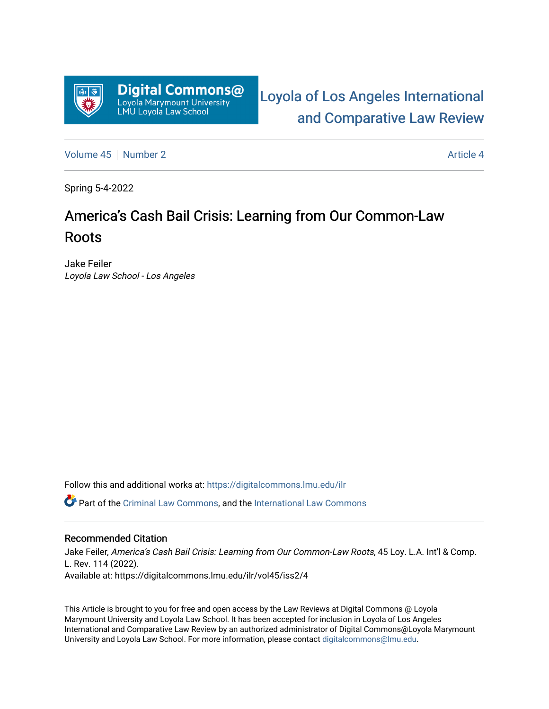

[Loyola of Los Angeles International](https://digitalcommons.lmu.edu/ilr)  [and Comparative Law Review](https://digitalcommons.lmu.edu/ilr) 

[Volume 45](https://digitalcommons.lmu.edu/ilr/vol45) [Number 2](https://digitalcommons.lmu.edu/ilr/vol45/iss2) Article 4

Spring 5-4-2022

# America's Cash Bail Crisis: Learning from Our Common-Law Roots

Jake Feiler Loyola Law School - Los Angeles

Follow this and additional works at: [https://digitalcommons.lmu.edu/ilr](https://digitalcommons.lmu.edu/ilr?utm_source=digitalcommons.lmu.edu%2Filr%2Fvol45%2Fiss2%2F4&utm_medium=PDF&utm_campaign=PDFCoverPages) 

Part of the [Criminal Law Commons,](http://network.bepress.com/hgg/discipline/912?utm_source=digitalcommons.lmu.edu%2Filr%2Fvol45%2Fiss2%2F4&utm_medium=PDF&utm_campaign=PDFCoverPages) and the [International Law Commons](http://network.bepress.com/hgg/discipline/609?utm_source=digitalcommons.lmu.edu%2Filr%2Fvol45%2Fiss2%2F4&utm_medium=PDF&utm_campaign=PDFCoverPages) 

## Recommended Citation

Jake Feiler, America's Cash Bail Crisis: Learning from Our Common-Law Roots, 45 Loy. L.A. Int'l & Comp. L. Rev. 114 (2022). Available at: https://digitalcommons.lmu.edu/ilr/vol45/iss2/4

This Article is brought to you for free and open access by the Law Reviews at Digital Commons @ Loyola Marymount University and Loyola Law School. It has been accepted for inclusion in Loyola of Los Angeles International and Comparative Law Review by an authorized administrator of Digital Commons@Loyola Marymount University and Loyola Law School. For more information, please contact [digitalcommons@lmu.edu.](mailto:digitalcommons@lmu.edu)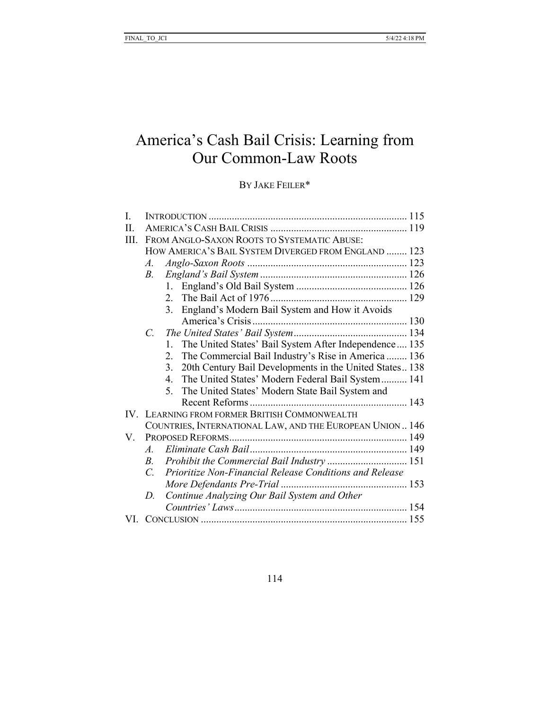## America's Cash Bail Crisis: Learning from Our Common-Law Roots

## BY JAKE FEILER\*

| I.   |                                                      |                                                                      |
|------|------------------------------------------------------|----------------------------------------------------------------------|
| II.  |                                                      |                                                                      |
| III. |                                                      | FROM ANGLO-SAXON ROOTS TO SYSTEMATIC ABUSE:                          |
|      | HOW AMERICA'S BAIL SYSTEM DIVERGED FROM ENGLAND  123 |                                                                      |
|      | $A_{\cdot}$                                          |                                                                      |
|      | В.                                                   |                                                                      |
|      |                                                      | 1.                                                                   |
|      |                                                      | 2.                                                                   |
|      |                                                      | England's Modern Bail System and How it Avoids<br>3.                 |
|      |                                                      |                                                                      |
|      | $C_{\cdot}$                                          |                                                                      |
|      |                                                      | The United States' Bail System After Independence 135<br>$1_{-}$     |
|      |                                                      | 2.<br>The Commercial Bail Industry's Rise in America  136            |
|      |                                                      | 20th Century Bail Developments in the United States 138<br>3.        |
|      |                                                      | The United States' Modern Federal Bail System  141<br>4 <sup>1</sup> |
|      |                                                      | The United States' Modern State Bail System and<br>5 <sub>1</sub>    |
|      |                                                      |                                                                      |
|      |                                                      | IV. LEARNING FROM FORMER BRITISH COMMONWEALTH                        |
|      |                                                      | COUNTRIES, INTERNATIONAL LAW, AND THE EUROPEAN UNION  146            |
| V.   |                                                      |                                                                      |
|      | $A_{\cdot}$                                          |                                                                      |
|      | $B_{\cdot}$                                          | Prohibit the Commercial Bail Industry  151                           |
|      | $C_{\cdot}$                                          | Prioritize Non-Financial Release Conditions and Release              |
|      |                                                      |                                                                      |
|      | D.                                                   | Continue Analyzing Our Bail System and Other                         |
|      |                                                      |                                                                      |
| VI.  |                                                      |                                                                      |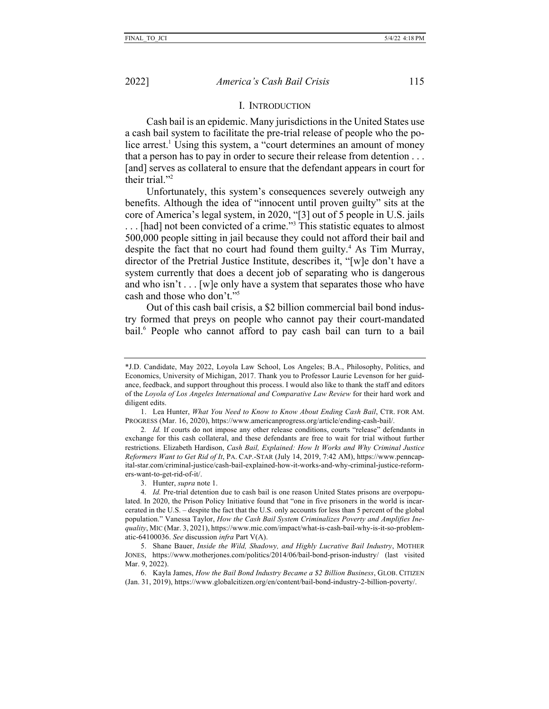#### I. INTRODUCTION

Cash bail is an epidemic. Many jurisdictions in the United States use a cash bail system to facilitate the pre-trial release of people who the police arrest.<sup>1</sup> Using this system, a "court determines an amount of money that a person has to pay in order to secure their release from detention . . . [and] serves as collateral to ensure that the defendant appears in court for their trial."<sup>2</sup>

Unfortunately, this system's consequences severely outweigh any benefits. Although the idea of "innocent until proven guilty" sits at the core of America's legal system, in 2020, "[3] out of 5 people in U.S. jails . . . [had] not been convicted of a crime."3 This statistic equates to almost 500,000 people sitting in jail because they could not afford their bail and despite the fact that no court had found them guilty.<sup>4</sup> As Tim Murray, director of the Pretrial Justice Institute, describes it, "[w]e don't have a system currently that does a decent job of separating who is dangerous and who isn't  $\dots$  [w]e only have a system that separates those who have cash and those who don't."5

Out of this cash bail crisis, a \$2 billion commercial bail bond industry formed that preys on people who cannot pay their court-mandated bail.<sup>6</sup> People who cannot afford to pay cash bail can turn to a bail

3. Hunter, *supra* note 1.

<sup>\*</sup>J.D. Candidate, May 2022, Loyola Law School, Los Angeles; B.A., Philosophy, Politics, and Economics, University of Michigan, 2017. Thank you to Professor Laurie Levenson for her guidance, feedback, and support throughout this process. I would also like to thank the staff and editors of the *Loyola of Los Angeles International and Comparative Law Review* for their hard work and diligent edits.

<sup>1.</sup> Lea Hunter, *What You Need to Know to Know About Ending Cash Bail*, CTR. FOR AM. PROGRESS (Mar. 16, 2020), https://www.americanprogress.org/article/ending-cash-bail/.

<sup>2</sup>*. Id.* If courts do not impose any other release conditions, courts "release" defendants in exchange for this cash collateral, and these defendants are free to wait for trial without further restrictions. Elizabeth Hardison, *Cash Bail, Explained: How It Works and Why Criminal Justice Reformers Want to Get Rid of It*, PA. CAP.-STAR (July 14, 2019, 7:42 AM), https://www.penncapital-star.com/criminal-justice/cash-bail-explained-how-it-works-and-why-criminal-justice-reformers-want-to-get-rid-of-it/.

<sup>4</sup>*. Id.* Pre-trial detention due to cash bail is one reason United States prisons are overpopulated. In 2020, the Prison Policy Initiative found that "one in five prisoners in the world is incarcerated in the U.S. – despite the fact that the U.S. only accounts for less than 5 percent of the global population." Vanessa Taylor, *How the Cash Bail System Criminalizes Poverty and Amplifies Inequality*, MIC (Mar. 3, 2021), https://www.mic.com/impact/what-is-cash-bail-why-is-it-so-problematic-64100036. *See* discussion *infra* Part V(A).

<sup>5.</sup> Shane Bauer, *Inside the Wild, Shadowy, and Highly Lucrative Bail Industry*, MOTHER JONES, https://www.motherjones.com/politics/2014/06/bail-bond-prison-industry/ (last visited Mar. 9, 2022).

<sup>6.</sup> Kayla James, *How the Bail Bond Industry Became a \$2 Billion Business*, GLOB. CITIZEN (Jan. 31, 2019), https://www.globalcitizen.org/en/content/bail-bond-industry-2-billion-poverty/.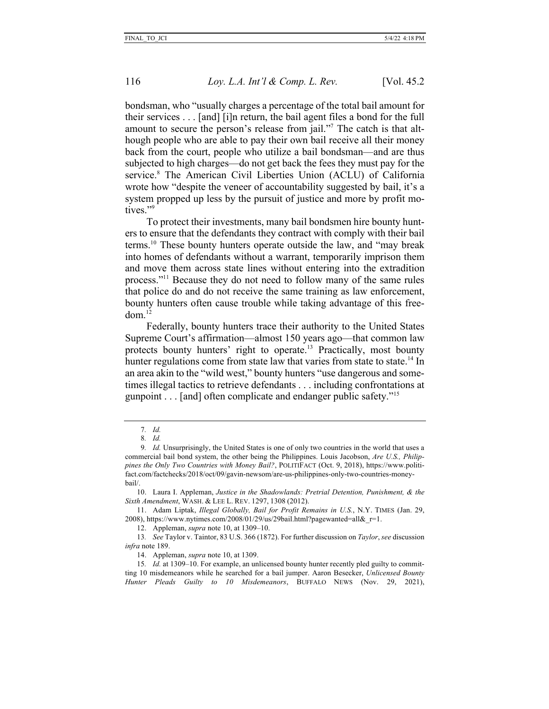bondsman, who "usually charges a percentage of the total bail amount for their services . . . [and] [i]n return, the bail agent files a bond for the full amount to secure the person's release from jail."7 The catch is that although people who are able to pay their own bail receive all their money back from the court, people who utilize a bail bondsman—and are thus subjected to high charges—do not get back the fees they must pay for the service.<sup>8</sup> The American Civil Liberties Union (ACLU) of California wrote how "despite the veneer of accountability suggested by bail, it's a system propped up less by the pursuit of justice and more by profit motives."<sup>9</sup>

To protect their investments, many bail bondsmen hire bounty hunters to ensure that the defendants they contract with comply with their bail terms.10 These bounty hunters operate outside the law, and "may break into homes of defendants without a warrant, temporarily imprison them and move them across state lines without entering into the extradition process."11 Because they do not need to follow many of the same rules that police do and do not receive the same training as law enforcement, bounty hunters often cause trouble while taking advantage of this free $dom<sup>12</sup>$ 

Federally, bounty hunters trace their authority to the United States Supreme Court's affirmation—almost 150 years ago—that common law protects bounty hunters' right to operate.<sup>13</sup> Practically, most bounty hunter regulations come from state law that varies from state to state.<sup>14</sup> In an area akin to the "wild west," bounty hunters "use dangerous and sometimes illegal tactics to retrieve defendants . . . including confrontations at gunpoint . . . [and] often complicate and endanger public safety."15

10. Laura I. Appleman, *Justice in the Shadowlands: Pretrial Detention, Punishment, & the Sixth Amendment*, WASH. & LEE L. REV. 1297, 1308 (2012).

11. Adam Liptak, *Illegal Globally, Bail for Profit Remains in U.S.*, N.Y. TIMES (Jan. 29, 2008), https://www.nytimes.com/2008/01/29/us/29bail.html?pagewanted=all&r=1.

12. Appleman, *supra* note 10, at 1309–10.

13*. See* Taylor v. Taintor, 83 U.S. 366 (1872). For further discussion on *Taylor*, *see* discussion *infra* note 189.

<sup>7</sup>*. Id.* 8*. Id.*

<sup>9</sup>*. Id.* Unsurprisingly, the United States is one of only two countries in the world that uses a commercial bail bond system, the other being the Philippines. Louis Jacobson, *Are U.S., Philippines the Only Two Countries with Money Bail?*, POLITIFACT (Oct. 9, 2018), https://www.politifact.com/factchecks/2018/oct/09/gavin-newsom/are-us-philippines-only-two-countries-moneybail/.

<sup>14.</sup> Appleman, *supra* note 10, at 1309.

<sup>15</sup>*. Id.* at 1309–10. For example, an unlicensed bounty hunter recently pled guilty to committing 10 misdemeanors while he searched for a bail jumper. Aaron Besecker, *Unlicensed Bounty Hunter Pleads Guilty to 10 Misdemeanors*, BUFFALO NEWS (Nov. 29, 2021),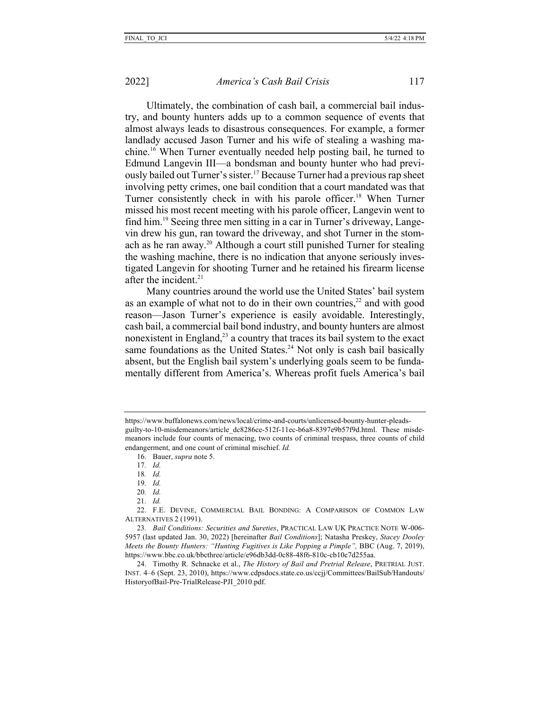Ultimately, the combination of cash bail, a commercial bail industry, and bounty hunters adds up to a common sequence of events that almost always leads to disastrous consequences. For example, a former landlady accused Jason Turner and his wife of stealing a washing machine.16 When Turner eventually needed help posting bail, he turned to Edmund Langevin III—a bondsman and bounty hunter who had previously bailed out Turner's sister.<sup>17</sup> Because Turner had a previous rap sheet involving petty crimes, one bail condition that a court mandated was that Turner consistently check in with his parole officer.<sup>18</sup> When Turner missed his most recent meeting with his parole officer, Langevin went to find him.19 Seeing three men sitting in a car in Turner's driveway, Langevin drew his gun, ran toward the driveway, and shot Turner in the stomach as he ran away.20 Although a court still punished Turner for stealing the washing machine, there is no indication that anyone seriously investigated Langevin for shooting Turner and he retained his firearm license after the incident. $21$ 

Many countries around the world use the United States' bail system as an example of what not to do in their own countries, $^{22}$  and with good reason—Jason Turner's experience is easily avoidable. Interestingly, cash bail, a commercial bail bond industry, and bounty hunters are almost nonexistent in England, $^{23}$  a country that traces its bail system to the exact same foundations as the United States.<sup>24</sup> Not only is cash bail basically absent, but the English bail system's underlying goals seem to be fundamentally different from America's. Whereas profit fuels America's bail

https://www.buffalonews.com/news/local/crime-and-courts/unlicensed-bounty-hunter-pleadsguilty-to-10-misdemeanors/article\_dc8286ce-512f-11ec-b6a8-8397e9b57f9d.html. These misdemeanors include four counts of menacing, two counts of criminal trespass, three counts of child endangerment, and one count of criminal mischief. *Id.*

<sup>16.</sup> Bauer, *supra* note 5.

<sup>17</sup>*. Id.*

<sup>18</sup>*. Id.*

<sup>19</sup>*. Id.*

<sup>20</sup>*. Id.*

<sup>21</sup>*. Id.*

<sup>22.</sup> F.E. DEVINE, COMMERCIAL BAIL BONDING: A COMPARISON OF COMMON LAW ALTERNATIVES 2 (1991).

<sup>23</sup>*. Bail Conditions: Securities and Sureties*, PRACTICAL LAW UK PRACTICE NOTE W-006- 5957 (last updated Jan. 30, 2022) [hereinafter *Bail Conditions*]; Natasha Preskey, *Stacey Dooley Meets the Bounty Hunters: "Hunting Fugitives is Like Popping a Pimple", BBC (Aug. 7, 2019),* https://www.bbc.co.uk/bbcthree/article/e96db3dd-0c88-48f6-810c-cb10c7d255aa.

<sup>24.</sup> Timothy R. Schnacke et al., *The History of Bail and Pretrial Release*, PRETRIAL JUST. INST. 4–6 (Sept. 23, 2010), https://www.cdpsdocs.state.co.us/ccjj/Committees/BailSub/Handouts/ HistoryofBail-Pre-TrialRelease-PJI\_2010.pdf.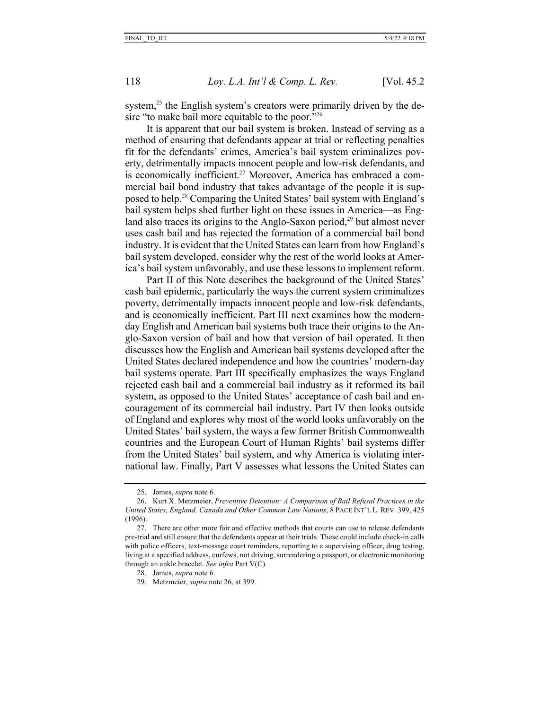system, $25$  the English system's creators were primarily driven by the desire "to make bail more equitable to the poor."<sup>26</sup>

It is apparent that our bail system is broken. Instead of serving as a method of ensuring that defendants appear at trial or reflecting penalties fit for the defendants' crimes, America's bail system criminalizes poverty, detrimentally impacts innocent people and low-risk defendants, and is economically inefficient.<sup>27</sup> Moreover, America has embraced a commercial bail bond industry that takes advantage of the people it is supposed to help.28 Comparing the United States' bail system with England's bail system helps shed further light on these issues in America—as England also traces its origins to the Anglo-Saxon period,<sup>29</sup> but almost never uses cash bail and has rejected the formation of a commercial bail bond industry. It is evident that the United States can learn from how England's bail system developed, consider why the rest of the world looks at America's bail system unfavorably, and use these lessons to implement reform.

Part II of this Note describes the background of the United States' cash bail epidemic, particularly the ways the current system criminalizes poverty, detrimentally impacts innocent people and low-risk defendants, and is economically inefficient. Part III next examines how the modernday English and American bail systems both trace their origins to the Anglo-Saxon version of bail and how that version of bail operated. It then discusses how the English and American bail systems developed after the United States declared independence and how the countries' modern-day bail systems operate. Part III specifically emphasizes the ways England rejected cash bail and a commercial bail industry as it reformed its bail system, as opposed to the United States' acceptance of cash bail and encouragement of its commercial bail industry. Part IV then looks outside of England and explores why most of the world looks unfavorably on the United States' bail system, the ways a few former British Commonwealth countries and the European Court of Human Rights' bail systems differ from the United States' bail system, and why America is violating international law. Finally, Part V assesses what lessons the United States can

<sup>25.</sup> James, *supra* note 6.

<sup>26.</sup> Kurt X. Metzmeier, *Preventive Detention: A Comparison of Bail Refusal Practices in the United States, England, Canada and Other Common Law Nations*, 8 PACE INT'L L. REV. 399, 425 (1996).

<sup>27.</sup> There are other more fair and effective methods that courts can use to release defendants pre-trial and still ensure that the defendants appear at their trials. These could include check-in calls with police officers, text-message court reminders, reporting to a supervising officer, drug testing, living at a specified address, curfews, not driving, surrendering a passport, or electronic monitoring through an ankle bracelet. *See infra* Part V(C).

<sup>28.</sup> James, *supra* note 6.

<sup>29.</sup> Metzmeier, *supra* note 26, at 399.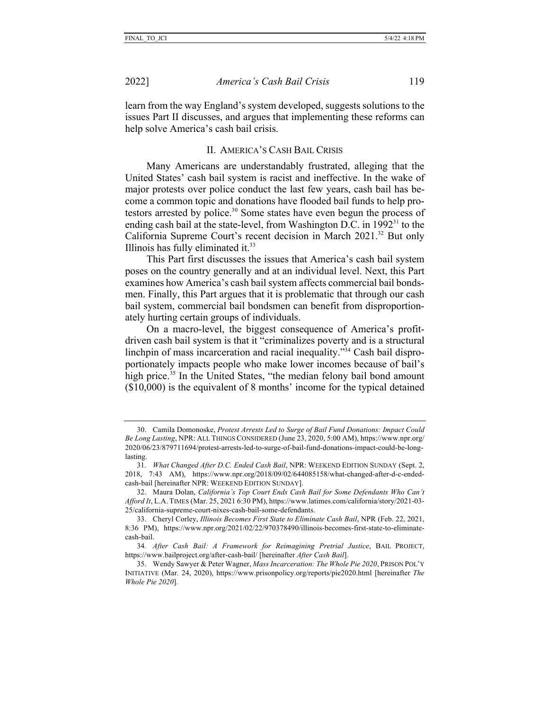2022] *America's Cash Bail Crisis* 119

learn from the way England's system developed, suggests solutions to the issues Part II discusses, and argues that implementing these reforms can help solve America's cash bail crisis.

#### II. AMERICA'S CASH BAIL CRISIS

Many Americans are understandably frustrated, alleging that the United States' cash bail system is racist and ineffective. In the wake of major protests over police conduct the last few years, cash bail has become a common topic and donations have flooded bail funds to help protestors arrested by police.<sup>30</sup> Some states have even begun the process of ending cash bail at the state-level, from Washington D.C. in  $1992<sup>31</sup>$  to the California Supreme Court's recent decision in March 2021.32 But only Illinois has fully eliminated it. $33$ 

This Part first discusses the issues that America's cash bail system poses on the country generally and at an individual level. Next, this Part examines how America's cash bail system affects commercial bail bondsmen. Finally, this Part argues that it is problematic that through our cash bail system, commercial bail bondsmen can benefit from disproportionately hurting certain groups of individuals.

On a macro-level, the biggest consequence of America's profitdriven cash bail system is that it "criminalizes poverty and is a structural linchpin of mass incarceration and racial inequality."34 Cash bail disproportionately impacts people who make lower incomes because of bail's high price.<sup>35</sup> In the United States, "the median felony bail bond amount (\$10,000) is the equivalent of 8 months' income for the typical detained

<sup>30.</sup> Camila Domonoske, *Protest Arrests Led to Surge of Bail Fund Donations: Impact Could Be Long Lasting*, NPR: ALL THINGS CONSIDERED (June 23, 2020, 5:00 AM), https://www.npr.org/ 2020/06/23/879711694/protest-arrests-led-to-surge-of-bail-fund-donations-impact-could-be-longlasting.

<sup>31</sup>*. What Changed After D.C. Ended Cash Bail*, NPR: WEEKEND EDITION SUNDAY (Sept. 2, 2018, 7:43 AM), https://www.npr.org/2018/09/02/644085158/what-changed-after-d-c-endedcash-bail [hereinafter NPR: WEEKEND EDITION SUNDAY].

<sup>32.</sup> Maura Dolan, *California's Top Court Ends Cash Bail for Some Defendants Who Can't Afford It*, L.A. TIMES (Mar. 25, 2021 6:30 PM), https://www.latimes.com/california/story/2021-03- 25/california-supreme-court-nixes-cash-bail-some-defendants.

<sup>33.</sup> Cheryl Corley, *Illinois Becomes First State to Eliminate Cash Bail*, NPR (Feb. 22, 2021, 8:36 PM), https://www.npr.org/2021/02/22/970378490/illinois-becomes-first-state-to-eliminatecash-bail.

<sup>34</sup>*. After Cash Bail: A Framework for Reimagining Pretrial Justice*, BAIL PROJECT, https://www.bailproject.org/after-cash-bail/ [hereinafter *After Cash Bail*].

<sup>35.</sup> Wendy Sawyer & Peter Wagner, *Mass Incarceration: The Whole Pie 2020*, PRISON POL'Y INITIATIVE (Mar. 24, 2020), https://www.prisonpolicy.org/reports/pie2020.html [hereinafter *The Whole Pie 2020*].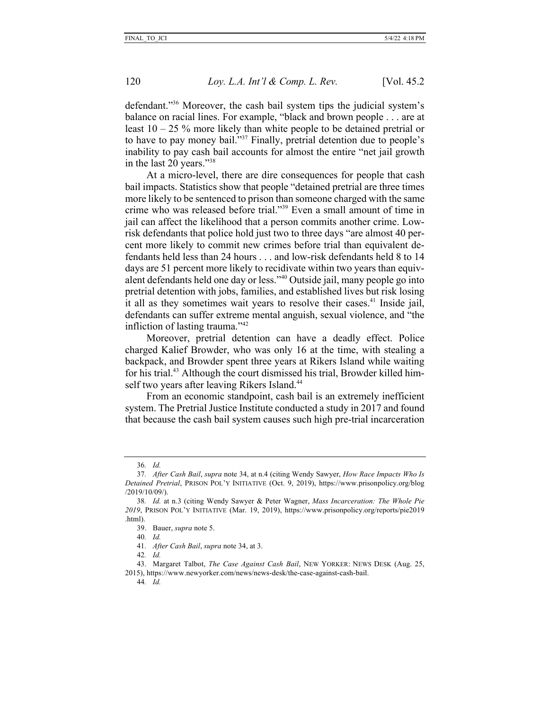defendant."36 Moreover, the cash bail system tips the judicial system's balance on racial lines. For example, "black and brown people . . . are at least  $10 - 25$  % more likely than white people to be detained pretrial or to have to pay money bail."37 Finally, pretrial detention due to people's inability to pay cash bail accounts for almost the entire "net jail growth in the last 20 years."38

At a micro-level, there are dire consequences for people that cash bail impacts. Statistics show that people "detained pretrial are three times more likely to be sentenced to prison than someone charged with the same crime who was released before trial."39 Even a small amount of time in jail can affect the likelihood that a person commits another crime. Lowrisk defendants that police hold just two to three days "are almost 40 percent more likely to commit new crimes before trial than equivalent defendants held less than 24 hours . . . and low-risk defendants held 8 to 14 days are 51 percent more likely to recidivate within two years than equivalent defendants held one day or less."40 Outside jail, many people go into pretrial detention with jobs, families, and established lives but risk losing it all as they sometimes wait years to resolve their cases.<sup>41</sup> Inside jail, defendants can suffer extreme mental anguish, sexual violence, and "the infliction of lasting trauma."42

Moreover, pretrial detention can have a deadly effect. Police charged Kalief Browder, who was only 16 at the time, with stealing a backpack, and Browder spent three years at Rikers Island while waiting for his trial.43 Although the court dismissed his trial, Browder killed himself two years after leaving Rikers Island.<sup>44</sup>

From an economic standpoint, cash bail is an extremely inefficient system. The Pretrial Justice Institute conducted a study in 2017 and found that because the cash bail system causes such high pre-trial incarceration

<sup>36</sup>*. Id.*

<sup>37</sup>*. After Cash Bail*, *supra* note 34, at n.4 (citing Wendy Sawyer, *How Race Impacts Who Is Detained Pretrial*, PRISON POL'Y INITIATIVE (Oct. 9, 2019), https://www.prisonpolicy.org/blog /2019/10/09/).

<sup>38</sup>*. Id.* at n.3 (citing Wendy Sawyer & Peter Wagner, *Mass Incarceration: The Whole Pie 2019*, PRISON POL'Y INITIATIVE (Mar. 19, 2019), https://www.prisonpolicy.org/reports/pie2019 .html).

<sup>39.</sup> Bauer, *supra* note 5.

<sup>40</sup>*. Id.*

<sup>41</sup>*. After Cash Bail*, *supra* note 34, at 3.

<sup>42</sup>*. Id.*

<sup>43.</sup> Margaret Talbot, *The Case Against Cash Bail*, NEW YORKER: NEWS DESK (Aug. 25, 2015), https://www.newyorker.com/news/news-desk/the-case-against-cash-bail.

<sup>44</sup>*. Id.*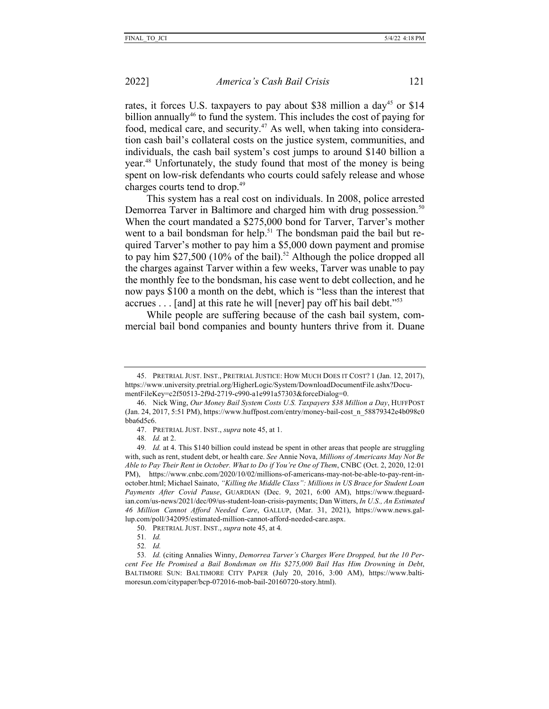rates, it forces U.S. taxpayers to pay about \$38 million a day<sup>45</sup> or \$14 billion annually<sup>46</sup> to fund the system. This includes the cost of paying for food, medical care, and security.47 As well, when taking into consideration cash bail's collateral costs on the justice system, communities, and individuals, the cash bail system's cost jumps to around \$140 billion a year.48 Unfortunately, the study found that most of the money is being spent on low-risk defendants who courts could safely release and whose charges courts tend to drop.<sup>49</sup>

This system has a real cost on individuals. In 2008, police arrested Demorrea Tarver in Baltimore and charged him with drug possession.<sup>50</sup> When the court mandated a \$275,000 bond for Tarver, Tarver's mother went to a bail bondsman for help.<sup>51</sup> The bondsman paid the bail but required Tarver's mother to pay him a \$5,000 down payment and promise to pay him \$27,500 (10% of the bail).<sup>52</sup> Although the police dropped all the charges against Tarver within a few weeks, Tarver was unable to pay the monthly fee to the bondsman, his case went to debt collection, and he now pays \$100 a month on the debt, which is "less than the interest that accrues . . . [and] at this rate he will [never] pay off his bail debt."53

While people are suffering because of the cash bail system, commercial bail bond companies and bounty hunters thrive from it. Duane

48*. Id.* at 2.

50. PRETRIAL JUST. INST., *supra* note 45, at 4*.*

<sup>45.</sup> PRETRIAL JUST. INST., PRETRIAL JUSTICE: HOW MUCH DOES IT COST? 1 (Jan. 12, 2017), https://www.university.pretrial.org/HigherLogic/System/DownloadDocumentFile.ashx?DocumentFileKey=c2f50513-2f9d-2719-c990-a1e991a57303&forceDialog=0.

<sup>46.</sup> Nick Wing, *Our Money Bail System Costs U.S. Taxpayers \$38 Million a Day*, HUFFPOST (Jan. 24, 2017, 5:51 PM), https://www.huffpost.com/entry/money-bail-cost\_n\_58879342e4b098c0 bba6d5c6.

<sup>47.</sup> PRETRIAL JUST. INST., *supra* note 45, at 1.

<sup>49</sup>*. Id.* at 4. This \$140 billion could instead be spent in other areas that people are struggling with, such as rent, student debt, or health care. *See* Annie Nova, *Millions of Americans May Not Be Able to Pay Their Rent in October. What to Do if You're One of Them*, CNBC (Oct. 2, 2020, 12:01 PM), https://www.cnbc.com/2020/10/02/millions-of-americans-may-not-be-able-to-pay-rent-inoctober.html; Michael Sainato, *"Killing the Middle Class": Millions in US Brace for Student Loan Payments After Covid Pause*, GUARDIAN (Dec. 9, 2021, 6:00 AM), https://www.theguardian.com/us-news/2021/dec/09/us-student-loan-crisis-payments; Dan Witters, *In U.S., An Estimated 46 Million Cannot Afford Needed Care*, GALLUP, (Mar. 31, 2021), https://www.news.gallup.com/poll/342095/estimated-million-cannot-afford-needed-care.aspx.

<sup>51</sup>*. Id.*

<sup>52</sup>*. Id.*

<sup>53</sup>*. Id.* (citing Annalies Winny, *Demorrea Tarver's Charges Were Dropped, but the 10 Percent Fee He Promised a Bail Bondsman on His \$275,000 Bail Has Him Drowning in Debt*, BALTIMORE SUN: BALTIMORE CITY PAPER (July 20, 2016, 3:00 AM), https://www.baltimoresun.com/citypaper/bcp-072016-mob-bail-20160720-story.html).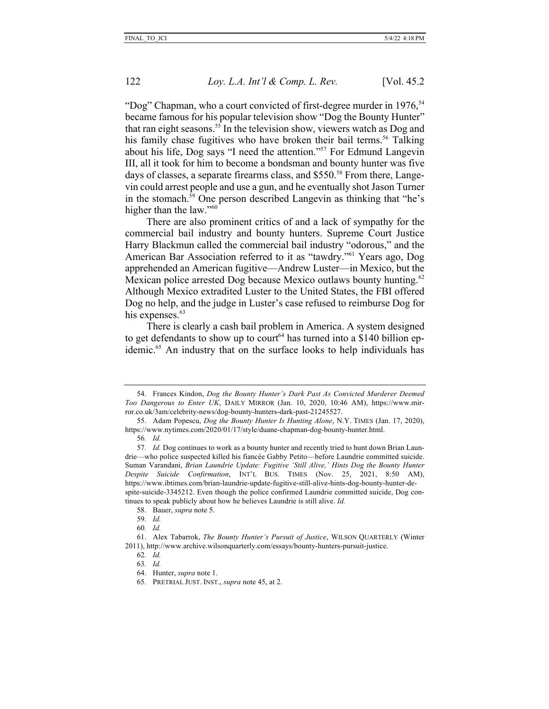"Dog" Chapman, who a court convicted of first-degree murder in 1976,<sup>54</sup> became famous for his popular television show "Dog the Bounty Hunter" that ran eight seasons.<sup>55</sup> In the television show, viewers watch as Dog and his family chase fugitives who have broken their bail terms.<sup>56</sup> Talking about his life, Dog says "I need the attention."57 For Edmund Langevin III, all it took for him to become a bondsman and bounty hunter was five days of classes, a separate firearms class, and \$550.<sup>58</sup> From there, Langevin could arrest people and use a gun, and he eventually shot Jason Turner in the stomach.59 One person described Langevin as thinking that "he's higher than the law."<sup>60</sup>

There are also prominent critics of and a lack of sympathy for the commercial bail industry and bounty hunters. Supreme Court Justice Harry Blackmun called the commercial bail industry "odorous," and the American Bar Association referred to it as "tawdry."61 Years ago, Dog apprehended an American fugitive—Andrew Luster—in Mexico, but the Mexican police arrested Dog because Mexico outlaws bounty hunting.<sup>62</sup> Although Mexico extradited Luster to the United States, the FBI offered Dog no help, and the judge in Luster's case refused to reimburse Dog for his expenses.<sup>63</sup>

There is clearly a cash bail problem in America. A system designed to get defendants to show up to court<sup>64</sup> has turned into a \$140 billion epidemic.65 An industry that on the surface looks to help individuals has

<sup>54.</sup> Frances Kindon, *Dog the Bounty Hunter's Dark Past As Convicted Murderer Deemed Too Dangerous to Enter UK*, DAILY MIRROR (Jan. 10, 2020, 10:46 AM), https://www.mirror.co.uk/3am/celebrity-news/dog-bounty-hunters-dark-past-21245527.

<sup>55.</sup> Adam Popescu, *Dog the Bounty Hunter Is Hunting Alone*, N.Y. TIMES (Jan. 17, 2020), https://www.nytimes.com/2020/01/17/style/duane-chapman-dog-bounty-hunter.html.

<sup>56</sup>*. Id.*

<sup>57</sup>*. Id.* Dog continues to work as a bounty hunter and recently tried to hunt down Brian Laundrie—who police suspected killed his fiancée Gabby Petito—before Laundrie committed suicide. Suman Varandani, *Brian Laundrie Update: Fugitive 'Still Alive,' Hints Dog the Bounty Hunter Despite Suicide Confirmation*, INT'L BUS. TIMES (Nov. 25, 2021, 8:50 AM), https://www.ibtimes.com/brian-laundrie-update-fugitive-still-alive-hints-dog-bounty-hunter-despite-suicide-3345212. Even though the police confirmed Laundrie committed suicide, Dog continues to speak publicly about how he believes Laundrie is still alive. *Id.*

<sup>58.</sup> Bauer, *supra* note 5.

<sup>59</sup>*. Id.*

<sup>60</sup>*. Id.*

<sup>61.</sup> Alex Tabarrok, *The Bounty Hunter's Pursuit of Justice*, WILSON QUARTERLY (Winter 2011), http://www.archive.wilsonquarterly.com/essays/bounty-hunters-pursuit-justice.

<sup>62</sup>*. Id.*

<sup>63</sup>*. Id.*

<sup>64.</sup> Hunter, *supra* note 1.

<sup>65.</sup> PRETRIAL JUST. INST., *supra* note 45, at 2.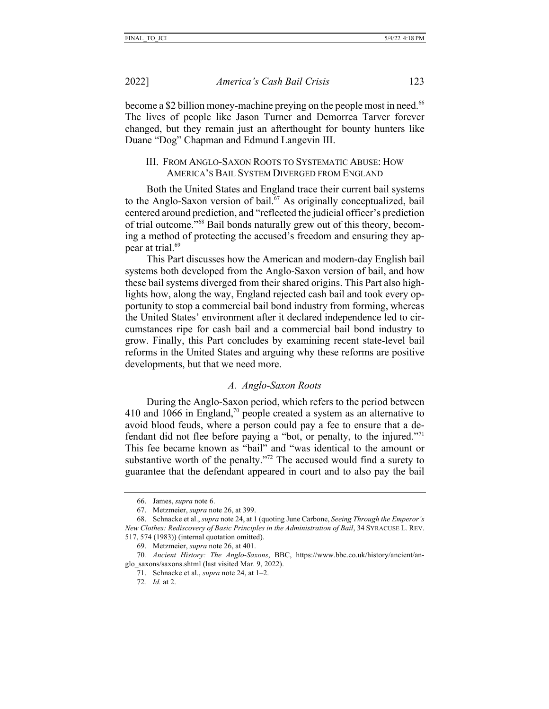become a \$2 billion money-machine preying on the people most in need.<sup>66</sup> The lives of people like Jason Turner and Demorrea Tarver forever changed, but they remain just an afterthought for bounty hunters like Duane "Dog" Chapman and Edmund Langevin III.

## III. FROM ANGLO-SAXON ROOTS TO SYSTEMATIC ABUSE: HOW AMERICA'S BAIL SYSTEM DIVERGED FROM ENGLAND

Both the United States and England trace their current bail systems to the Anglo-Saxon version of bail.<sup>67</sup> As originally conceptualized, bail centered around prediction, and "reflected the judicial officer's prediction of trial outcome."68 Bail bonds naturally grew out of this theory, becoming a method of protecting the accused's freedom and ensuring they appear at trial.69

This Part discusses how the American and modern-day English bail systems both developed from the Anglo-Saxon version of bail, and how these bail systems diverged from their shared origins. This Part also highlights how, along the way, England rejected cash bail and took every opportunity to stop a commercial bail bond industry from forming, whereas the United States' environment after it declared independence led to circumstances ripe for cash bail and a commercial bail bond industry to grow. Finally, this Part concludes by examining recent state-level bail reforms in the United States and arguing why these reforms are positive developments, but that we need more.

## *A. Anglo-Saxon Roots*

During the Anglo-Saxon period, which refers to the period between 410 and 1066 in England,<sup>70</sup> people created a system as an alternative to avoid blood feuds, where a person could pay a fee to ensure that a defendant did not flee before paying a "bot, or penalty, to the injured."<sup>71</sup> This fee became known as "bail" and "was identical to the amount or substantive worth of the penalty."<sup>72</sup> The accused would find a surety to guarantee that the defendant appeared in court and to also pay the bail

<sup>66.</sup> James, *supra* note 6.

<sup>67.</sup> Metzmeier, *supra* note 26, at 399.

<sup>68.</sup> Schnacke et al., *supra* note 24, at 1 (quoting June Carbone, *Seeing Through the Emperor's New Clothes: Rediscovery of Basic Principles in the Administration of Bail*, 34 SYRACUSE L. REV. 517, 574 (1983)) (internal quotation omitted).

<sup>69.</sup> Metzmeier, *supra* note 26, at 401.

<sup>70</sup>*. Ancient History: The Anglo-Saxons*, BBC, https://www.bbc.co.uk/history/ancient/anglo\_saxons/saxons.shtml (last visited Mar. 9, 2022).

<sup>71.</sup> Schnacke et al., *supra* note 24, at 1–2.

<sup>72</sup>*. Id.* at 2.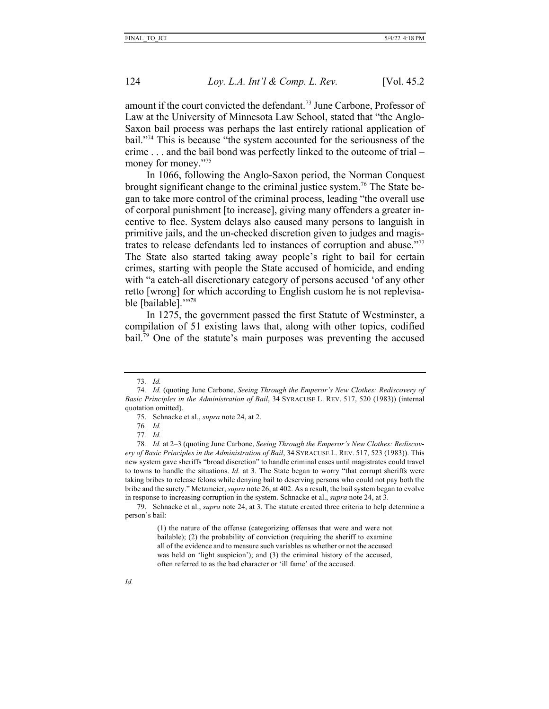amount if the court convicted the defendant.<sup>73</sup> June Carbone, Professor of Law at the University of Minnesota Law School, stated that "the Anglo-Saxon bail process was perhaps the last entirely rational application of bail."74 This is because "the system accounted for the seriousness of the crime . . . and the bail bond was perfectly linked to the outcome of trial – money for money."<sup>75</sup>

In 1066, following the Anglo-Saxon period, the Norman Conquest brought significant change to the criminal justice system.<sup>76</sup> The State began to take more control of the criminal process, leading "the overall use of corporal punishment [to increase], giving many offenders a greater incentive to flee. System delays also caused many persons to languish in primitive jails, and the un-checked discretion given to judges and magistrates to release defendants led to instances of corruption and abuse."77 The State also started taking away people's right to bail for certain crimes, starting with people the State accused of homicide, and ending with "a catch-all discretionary category of persons accused 'of any other retto [wrong] for which according to English custom he is not replevisable [bailable]."<sup>78</sup>

In 1275, the government passed the first Statute of Westminster, a compilation of 51 existing laws that, along with other topics, codified bail.<sup>79</sup> One of the statute's main purposes was preventing the accused

<sup>73</sup>*. Id.*

<sup>74</sup>*. Id.* (quoting June Carbone, *Seeing Through the Emperor's New Clothes: Rediscovery of Basic Principles in the Administration of Bail*, 34 SYRACUSE L. REV. 517, 520 (1983)) (internal quotation omitted).

<sup>75.</sup> Schnacke et al., *supra* note 24, at 2.

<sup>76</sup>*. Id.*

<sup>77</sup>*. Id.*

<sup>78</sup>*. Id.* at 2–3 (quoting June Carbone, *Seeing Through the Emperor's New Clothes: Rediscovery of Basic Principles in the Administration of Bail*, 34 SYRACUSE L. REV. 517, 523 (1983)). This new system gave sheriffs "broad discretion" to handle criminal cases until magistrates could travel to towns to handle the situations. *Id.* at 3. The State began to worry "that corrupt sheriffs were taking bribes to release felons while denying bail to deserving persons who could not pay both the bribe and the surety." Metzmeier, *supra* note 26, at 402. As a result, the bail system began to evolve in response to increasing corruption in the system. Schnacke et al., *supra* note 24, at 3.

<sup>79.</sup> Schnacke et al., *supra* note 24, at 3. The statute created three criteria to help determine a person's bail:

<sup>(1)</sup> the nature of the offense (categorizing offenses that were and were not bailable); (2) the probability of conviction (requiring the sheriff to examine all of the evidence and to measure such variables as whether or not the accused was held on 'light suspicion'); and (3) the criminal history of the accused, often referred to as the bad character or 'ill fame' of the accused.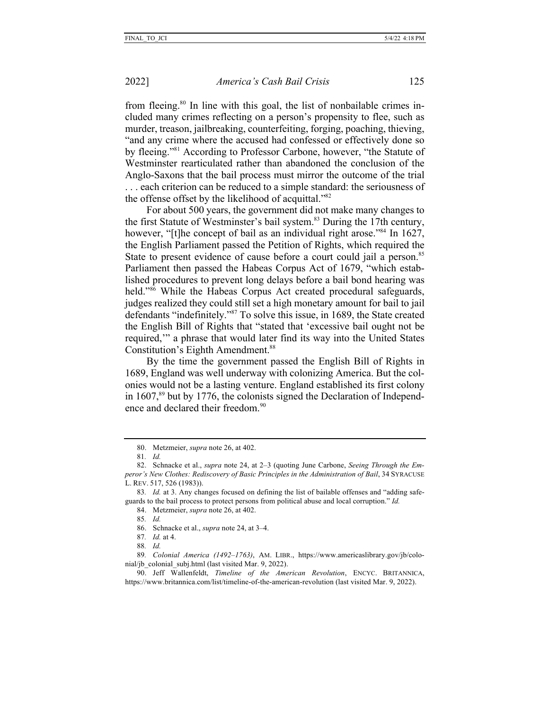from fleeing.<sup>80</sup> In line with this goal, the list of nonbailable crimes included many crimes reflecting on a person's propensity to flee, such as murder, treason, jailbreaking, counterfeiting, forging, poaching, thieving, "and any crime where the accused had confessed or effectively done so by fleeing."81 According to Professor Carbone, however, "the Statute of Westminster rearticulated rather than abandoned the conclusion of the Anglo-Saxons that the bail process must mirror the outcome of the trial . . . each criterion can be reduced to a simple standard: the seriousness of the offense offset by the likelihood of acquittal."82

For about 500 years, the government did not make many changes to the first Statute of Westminster's bail system.<sup>83</sup> During the 17th century, however, "[t]he concept of bail as an individual right arose."<sup>84</sup> In 1627, the English Parliament passed the Petition of Rights, which required the State to present evidence of cause before a court could jail a person.<sup>85</sup> Parliament then passed the Habeas Corpus Act of 1679, "which established procedures to prevent long delays before a bail bond hearing was held."<sup>86</sup> While the Habeas Corpus Act created procedural safeguards, judges realized they could still set a high monetary amount for bail to jail defendants "indefinitely."87 To solve this issue, in 1689, the State created the English Bill of Rights that "stated that 'excessive bail ought not be required,'" a phrase that would later find its way into the United States Constitution's Eighth Amendment.<sup>88</sup>

By the time the government passed the English Bill of Rights in 1689, England was well underway with colonizing America. But the colonies would not be a lasting venture. England established its first colony in  $1607$ ,  $89$  but by 1776, the colonists signed the Declaration of Independence and declared their freedom.<sup>90</sup>

88*. Id.*

<sup>80.</sup> Metzmeier, *supra* note 26, at 402.

<sup>81</sup>*. Id.*

<sup>82.</sup> Schnacke et al., *supra* note 24, at 2–3 (quoting June Carbone, *Seeing Through the Emperor's New Clothes: Rediscovery of Basic Principles in the Administration of Bail*, 34 SYRACUSE L. REV. 517, 526 (1983)).

<sup>83</sup>*. Id.* at 3. Any changes focused on defining the list of bailable offenses and "adding safeguards to the bail process to protect persons from political abuse and local corruption." *Id.*

<sup>84.</sup> Metzmeier, *supra* note 26, at 402.

<sup>85</sup>*. Id.*

<sup>86.</sup> Schnacke et al., *supra* note 24, at 3–4.

<sup>87</sup>*. Id.* at 4.

<sup>89</sup>*. Colonial America (1492*–*1763)*, AM. LIBR., https://www.americaslibrary.gov/jb/colonial/jb\_colonial\_subj.html (last visited Mar. 9, 2022).

<sup>90.</sup> Jeff Wallenfeldt, *Timeline of the American Revolution*, ENCYC. BRITANNICA, https://www.britannica.com/list/timeline-of-the-american-revolution (last visited Mar. 9, 2022).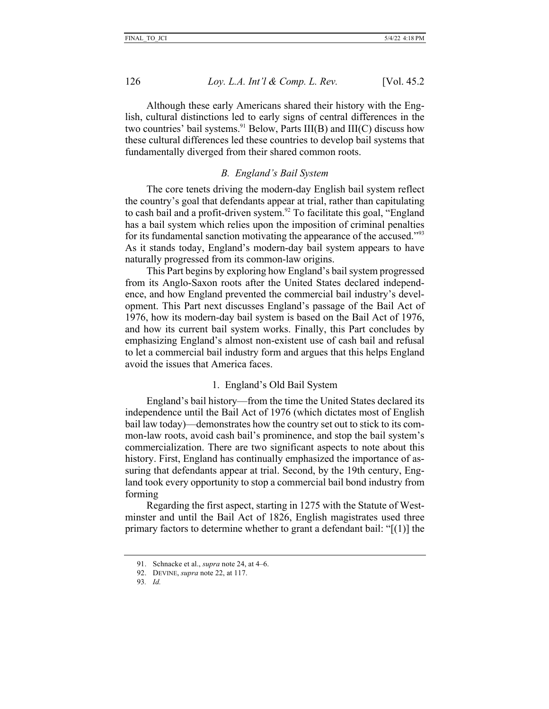Although these early Americans shared their history with the English, cultural distinctions led to early signs of central differences in the two countries' bail systems.<sup>91</sup> Below, Parts III(B) and III(C) discuss how these cultural differences led these countries to develop bail systems that fundamentally diverged from their shared common roots.

### *B. England's Bail System*

The core tenets driving the modern-day English bail system reflect the country's goal that defendants appear at trial, rather than capitulating to cash bail and a profit-driven system.<sup>92</sup> To facilitate this goal, "England has a bail system which relies upon the imposition of criminal penalties for its fundamental sanction motivating the appearance of the accused."93 As it stands today, England's modern-day bail system appears to have naturally progressed from its common-law origins.

This Part begins by exploring how England's bail system progressed from its Anglo-Saxon roots after the United States declared independence, and how England prevented the commercial bail industry's development. This Part next discusses England's passage of the Bail Act of 1976, how its modern-day bail system is based on the Bail Act of 1976, and how its current bail system works. Finally, this Part concludes by emphasizing England's almost non-existent use of cash bail and refusal to let a commercial bail industry form and argues that this helps England avoid the issues that America faces.

## 1. England's Old Bail System

England's bail history—from the time the United States declared its independence until the Bail Act of 1976 (which dictates most of English bail law today)—demonstrates how the country set out to stick to its common-law roots, avoid cash bail's prominence, and stop the bail system's commercialization. There are two significant aspects to note about this history. First, England has continually emphasized the importance of assuring that defendants appear at trial. Second, by the 19th century, England took every opportunity to stop a commercial bail bond industry from forming

Regarding the first aspect, starting in 1275 with the Statute of Westminster and until the Bail Act of 1826, English magistrates used three primary factors to determine whether to grant a defendant bail: "[(1)] the

<sup>91.</sup> Schnacke et al., *supra* note 24, at 4–6.

<sup>92.</sup> DEVINE, *supra* note 22, at 117.

<sup>93</sup>*. Id.*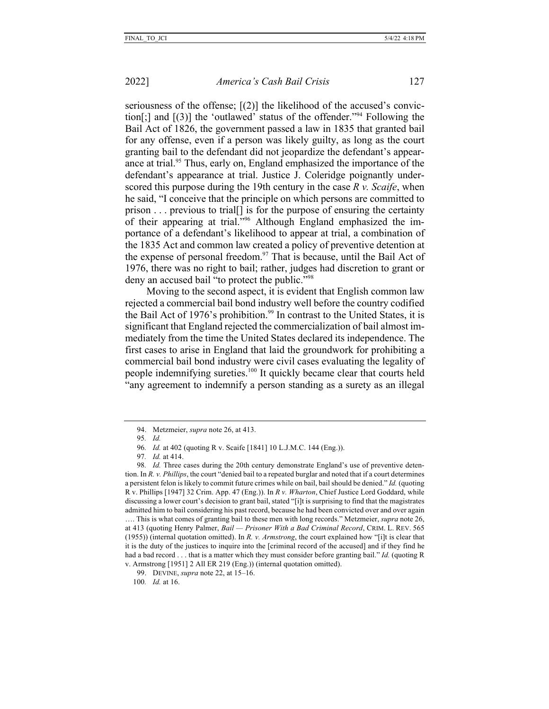seriousness of the offense; [(2)] the likelihood of the accused's conviction[;] and  $[(3)]$  the 'outlawed' status of the offender."<sup>94</sup> Following the Bail Act of 1826, the government passed a law in 1835 that granted bail for any offense, even if a person was likely guilty, as long as the court granting bail to the defendant did not jeopardize the defendant's appearance at trial.<sup>95</sup> Thus, early on, England emphasized the importance of the defendant's appearance at trial. Justice J. Coleridge poignantly underscored this purpose during the 19th century in the case *R v. Scaife*, when he said, "I conceive that the principle on which persons are committed to prison . . . previous to trial[] is for the purpose of ensuring the certainty of their appearing at trial."96 Although England emphasized the importance of a defendant's likelihood to appear at trial, a combination of the 1835 Act and common law created a policy of preventive detention at the expense of personal freedom.<sup>97</sup> That is because, until the Bail Act of 1976, there was no right to bail; rather, judges had discretion to grant or deny an accused bail "to protect the public."<sup>98</sup>

Moving to the second aspect, it is evident that English common law rejected a commercial bail bond industry well before the country codified the Bail Act of 1976's prohibition.<sup>99</sup> In contrast to the United States, it is significant that England rejected the commercialization of bail almost immediately from the time the United States declared its independence. The first cases to arise in England that laid the groundwork for prohibiting a commercial bail bond industry were civil cases evaluating the legality of people indemnifying sureties.100 It quickly became clear that courts held "any agreement to indemnify a person standing as a surety as an illegal

<sup>94.</sup> Metzmeier, *supra* note 26, at 413.

<sup>95</sup>*. Id.*

<sup>96</sup>*. Id.* at 402 (quoting R v. Scaife [1841] 10 L.J.M.C. 144 (Eng.)).

<sup>97</sup>*. Id.* at 414.

<sup>98</sup>*. Id.* Three cases during the 20th century demonstrate England's use of preventive detention. In *R. v. Phillips*, the court "denied bail to a repeated burglar and noted that if a court determines a persistent felon is likely to commit future crimes while on bail, bail should be denied." *Id.* (quoting R v. Phillips [1947] 32 Crim. App. 47 (Eng.)). In *R v. Wharton*, Chief Justice Lord Goddard, while discussing a lower court's decision to grant bail, stated "[i]t is surprising to find that the magistrates admitted him to bail considering his past record, because he had been convicted over and over again …. This is what comes of granting bail to these men with long records." Metzmeier, *supra* note 26, at 413 (quoting Henry Palmer, *Bail — Prisoner With a Bad Criminal Record*, CRIM. L. REV. 565 (1955)) (internal quotation omitted). In *R. v. Armstrong*, the court explained how "[i]t is clear that it is the duty of the justices to inquire into the [criminal record of the accused] and if they find he had a bad record . . . that is a matter which they must consider before granting bail." *Id.* (quoting R v. Armstrong [1951] 2 All ER 219 (Eng.)) (internal quotation omitted).

<sup>99.</sup> DEVINE, *supra* note 22, at 15–16.

<sup>100</sup>*. Id.* at 16.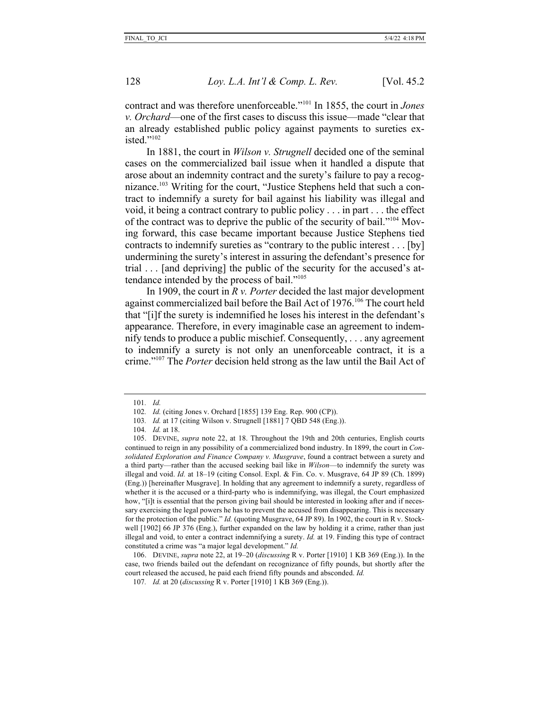contract and was therefore unenforceable."101 In 1855, the court in *Jones v. Orchard*—one of the first cases to discuss this issue—made "clear that an already established public policy against payments to sureties existed $"$ <sup>102</sup>

In 1881, the court in *Wilson v. Strugnell* decided one of the seminal cases on the commercialized bail issue when it handled a dispute that arose about an indemnity contract and the surety's failure to pay a recognizance.103 Writing for the court, "Justice Stephens held that such a contract to indemnify a surety for bail against his liability was illegal and void, it being a contract contrary to public policy . . . in part . . . the effect of the contract was to deprive the public of the security of bail."104 Moving forward, this case became important because Justice Stephens tied contracts to indemnify sureties as "contrary to the public interest . . . [by] undermining the surety's interest in assuring the defendant's presence for trial . . . [and depriving] the public of the security for the accused's attendance intended by the process of bail."105

In 1909, the court in *R v. Porter* decided the last major development against commercialized bail before the Bail Act of 1976.<sup>106</sup> The court held that "[i]f the surety is indemnified he loses his interest in the defendant's appearance. Therefore, in every imaginable case an agreement to indemnify tends to produce a public mischief. Consequently, . . . any agreement to indemnify a surety is not only an unenforceable contract, it is a crime."107 The *Porter* decision held strong as the law until the Bail Act of

<sup>101</sup>*. Id.*

<sup>102</sup>*. Id.* (citing Jones v. Orchard [1855] 139 Eng. Rep. 900 (CP)).

<sup>103</sup>*. Id.* at 17 (citing Wilson v. Strugnell [1881] 7 QBD 548 (Eng.)).

<sup>104</sup>*. Id.* at 18.

<sup>105.</sup> DEVINE, *supra* note 22, at 18. Throughout the 19th and 20th centuries, English courts continued to reign in any possibility of a commercialized bond industry. In 1899, the court in *Consolidated Exploration and Finance Company v. Musgrave*, found a contract between a surety and a third party—rather than the accused seeking bail like in *Wilson*—to indemnify the surety was illegal and void. *Id.* at 18–19 (citing Consol. Expl. & Fin. Co. v. Musgrave, 64 JP 89 (Ch. 1899) (Eng.)) [hereinafter Musgrave]. In holding that any agreement to indemnify a surety, regardless of whether it is the accused or a third-party who is indemnifying, was illegal, the Court emphasized how, "[i]t is essential that the person giving bail should be interested in looking after and if necessary exercising the legal powers he has to prevent the accused from disappearing. This is necessary for the protection of the public." *Id.* (quoting Musgrave, 64 JP 89). In 1902, the court in R v. Stockwell [1902] 66 JP 376 (Eng.), further expanded on the law by holding it a crime, rather than just illegal and void, to enter a contract indemnifying a surety. *Id.* at 19. Finding this type of contract constituted a crime was "a major legal development." *Id.*

<sup>106.</sup> DEVINE, *supra* note 22, at 19–20 (*discussing* R v. Porter [1910] 1 KB 369 (Eng.)). In the case, two friends bailed out the defendant on recognizance of fifty pounds, but shortly after the court released the accused, he paid each friend fifty pounds and absconded. *Id.*

<sup>107</sup>*. Id.* at 20 (*discussing* R v. Porter [1910] 1 KB 369 (Eng.)).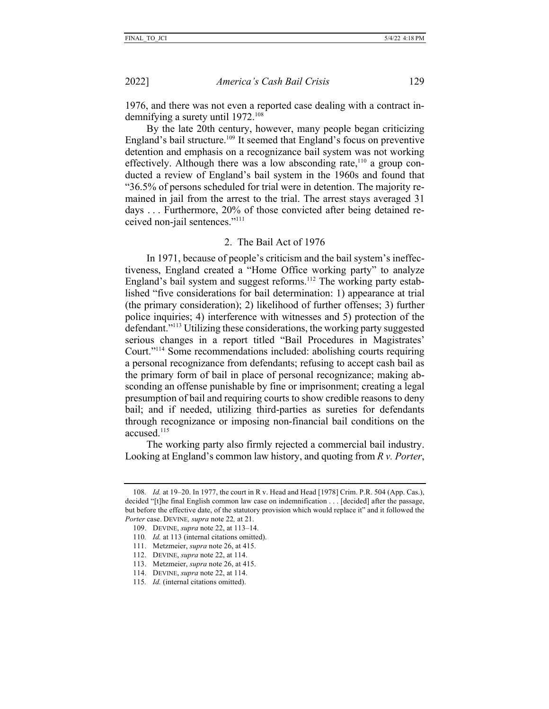1976, and there was not even a reported case dealing with a contract indemnifying a surety until 1972.<sup>108</sup>

By the late 20th century, however, many people began criticizing England's bail structure.<sup>109</sup> It seemed that England's focus on preventive detention and emphasis on a recognizance bail system was not working effectively. Although there was a low absconding rate,  $110$  a group conducted a review of England's bail system in the 1960s and found that "36.5% of persons scheduled for trial were in detention. The majority remained in jail from the arrest to the trial. The arrest stays averaged 31 days . . . Furthermore, 20% of those convicted after being detained received non-jail sentences."111

#### 2. The Bail Act of 1976

In 1971, because of people's criticism and the bail system's ineffectiveness, England created a "Home Office working party" to analyze England's bail system and suggest reforms.<sup>112</sup> The working party established "five considerations for bail determination: 1) appearance at trial (the primary consideration); 2) likelihood of further offenses; 3) further police inquiries; 4) interference with witnesses and 5) protection of the defendant."113 Utilizing these considerations, the working party suggested serious changes in a report titled "Bail Procedures in Magistrates' Court."114 Some recommendations included: abolishing courts requiring a personal recognizance from defendants; refusing to accept cash bail as the primary form of bail in place of personal recognizance; making absconding an offense punishable by fine or imprisonment; creating a legal presumption of bail and requiring courts to show credible reasons to deny bail; and if needed, utilizing third-parties as sureties for defendants through recognizance or imposing non-financial bail conditions on the accused.115

The working party also firmly rejected a commercial bail industry. Looking at England's common law history, and quoting from *R v. Porter*,

- 113. Metzmeier, *supra* note 26, at 415.
- 114. DEVINE, *supra* note 22, at 114.
- 115*. Id.* (internal citations omitted).

<sup>108</sup>*. Id.* at 19–20. In 1977, the court in R v. Head and Head [1978] Crim. P.R. 504 (App. Cas.), decided "[t]he final English common law case on indemnification . . . [decided] after the passage, but before the effective date, of the statutory provision which would replace it" and it followed the *Porter* case. DEVINE*, supra* note 22*,* at 21.

<sup>109.</sup> DEVINE, *supra* note 22, at 113–14.

<sup>110</sup>*. Id.* at 113 (internal citations omitted).

<sup>111.</sup> Metzmeier, *supra* note 26, at 415.

<sup>112.</sup> DEVINE, *supra* note 22, at 114.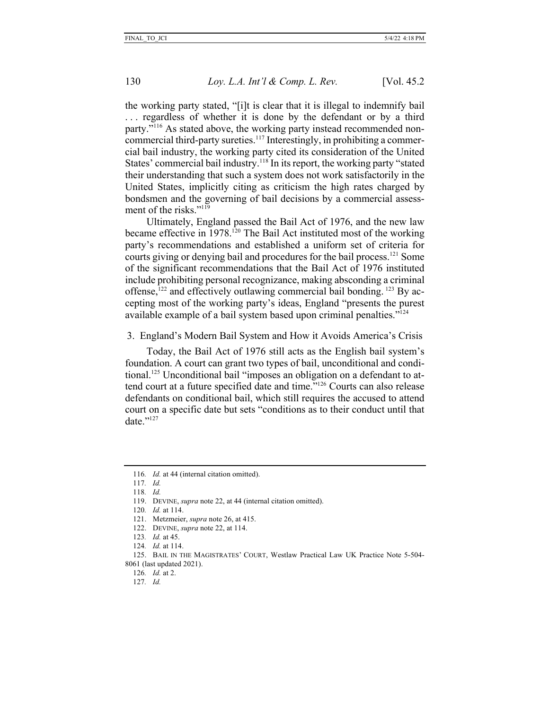the working party stated, "[i]t is clear that it is illegal to indemnify bail ... regardless of whether it is done by the defendant or by a third party."116 As stated above, the working party instead recommended noncommercial third-party sureties.<sup>117</sup> Interestingly, in prohibiting a commercial bail industry, the working party cited its consideration of the United States' commercial bail industry.<sup>118</sup> In its report, the working party "stated their understanding that such a system does not work satisfactorily in the United States, implicitly citing as criticism the high rates charged by bondsmen and the governing of bail decisions by a commercial assessment of the risks."<sup>119</sup>

Ultimately, England passed the Bail Act of 1976, and the new law became effective in  $1978$ <sup>120</sup> The Bail Act instituted most of the working party's recommendations and established a uniform set of criteria for courts giving or denying bail and procedures for the bail process.121 Some of the significant recommendations that the Bail Act of 1976 instituted include prohibiting personal recognizance, making absconding a criminal offense, $122$  and effectively outlawing commercial bail bonding.  $123$  By accepting most of the working party's ideas, England "presents the purest available example of a bail system based upon criminal penalties."<sup>124</sup>

3. England's Modern Bail System and How it Avoids America's Crisis

Today, the Bail Act of 1976 still acts as the English bail system's foundation. A court can grant two types of bail, unconditional and conditional.<sup>125</sup> Unconditional bail "imposes an obligation on a defendant to attend court at a future specified date and time."126 Courts can also release defendants on conditional bail, which still requires the accused to attend court on a specific date but sets "conditions as to their conduct until that date $"$ <sup>127</sup>

126*. Id.* at 2.

<sup>116</sup>*. Id.* at 44 (internal citation omitted).

<sup>117</sup>*. Id.*

<sup>118</sup>*. Id.*

<sup>119.</sup> DEVINE, *supra* note 22, at 44 (internal citation omitted).

<sup>120</sup>*. Id.* at 114.

<sup>121.</sup> Metzmeier, *supra* note 26, at 415.

<sup>122.</sup> DEVINE, *supra* note 22, at 114.

<sup>123</sup>*. Id.* at 45.

<sup>124</sup>*. Id.* at 114.

<sup>125.</sup> BAIL IN THE MAGISTRATES' COURT, Westlaw Practical Law UK Practice Note 5-504- 8061 (last updated 2021).

<sup>127</sup>*. Id.*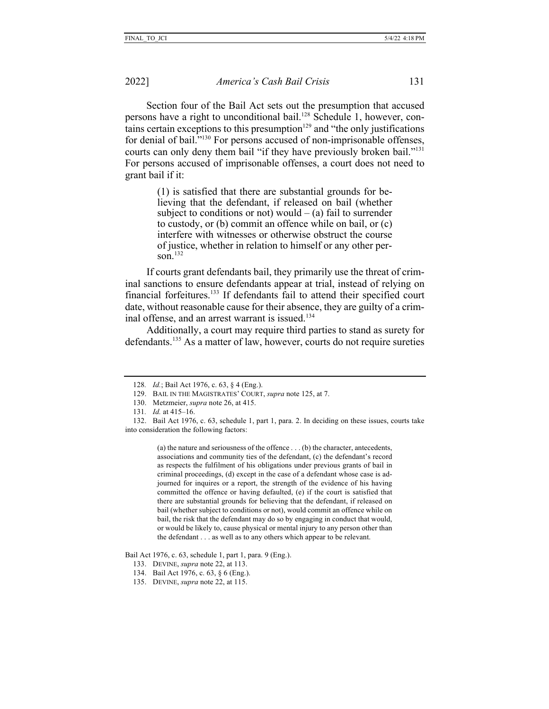Section four of the Bail Act sets out the presumption that accused persons have a right to unconditional bail.<sup>128</sup> Schedule 1, however, contains certain exceptions to this presumption $129$  and "the only justifications for denial of bail."130 For persons accused of non-imprisonable offenses, courts can only deny them bail "if they have previously broken bail."131 For persons accused of imprisonable offenses, a court does not need to grant bail if it:

> (1) is satisfied that there are substantial grounds for believing that the defendant, if released on bail (whether subject to conditions or not) would  $-$  (a) fail to surrender to custody, or (b) commit an offence while on bail, or (c) interfere with witnesses or otherwise obstruct the course of justice, whether in relation to himself or any other person.132

If courts grant defendants bail, they primarily use the threat of criminal sanctions to ensure defendants appear at trial, instead of relying on financial forfeitures.133 If defendants fail to attend their specified court date, without reasonable cause for their absence, they are guilty of a criminal offense, and an arrest warrant is issued.<sup>134</sup>

Additionally, a court may require third parties to stand as surety for defendants.135 As a matter of law, however, courts do not require sureties

(a) the nature and seriousness of the offence . . . (b) the character, antecedents, associations and community ties of the defendant, (c) the defendant's record as respects the fulfilment of his obligations under previous grants of bail in criminal proceedings, (d) except in the case of a defendant whose case is adjourned for inquires or a report, the strength of the evidence of his having committed the offence or having defaulted, (e) if the court is satisfied that there are substantial grounds for believing that the defendant, if released on bail (whether subject to conditions or not), would commit an offence while on bail, the risk that the defendant may do so by engaging in conduct that would, or would be likely to, cause physical or mental injury to any person other than the defendant . . . as well as to any others which appear to be relevant.

Bail Act 1976, c. 63, schedule 1, part 1, para. 9 (Eng.).

- 133. DEVINE, *supra* note 22, at 113.
- 134. Bail Act 1976, c. 63, § 6 (Eng.).
- 135. DEVINE, *supra* note 22, at 115.

<sup>128</sup>*. Id.*; Bail Act 1976, c. 63, § 4 (Eng.).

<sup>129.</sup> BAIL IN THE MAGISTRATES' COURT, *supra* note 125, at 7.

<sup>130.</sup> Metzmeier, *supra* note 26, at 415.

<sup>131</sup>*. Id.* at 415–16.

<sup>132.</sup> Bail Act 1976, c. 63, schedule 1, part 1, para. 2. In deciding on these issues, courts take into consideration the following factors: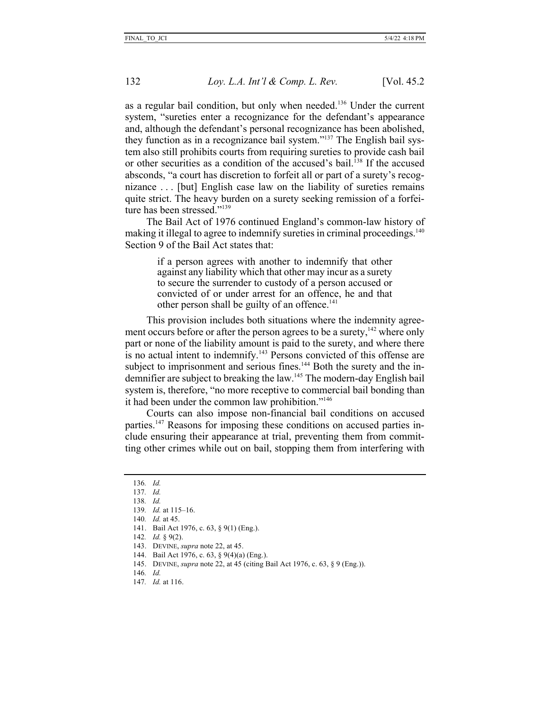as a regular bail condition, but only when needed.136 Under the current system, "sureties enter a recognizance for the defendant's appearance and, although the defendant's personal recognizance has been abolished, they function as in a recognizance bail system."137 The English bail system also still prohibits courts from requiring sureties to provide cash bail or other securities as a condition of the accused's bail.<sup>138</sup> If the accused absconds, "a court has discretion to forfeit all or part of a surety's recognizance . . . [but] English case law on the liability of sureties remains quite strict. The heavy burden on a surety seeking remission of a forfeiture has been stressed."<sup>139</sup>

The Bail Act of 1976 continued England's common-law history of making it illegal to agree to indemnify sureties in criminal proceedings.<sup>140</sup> Section 9 of the Bail Act states that:

> if a person agrees with another to indemnify that other against any liability which that other may incur as a surety to secure the surrender to custody of a person accused or convicted of or under arrest for an offence, he and that other person shall be guilty of an offence.<sup>141</sup>

This provision includes both situations where the indemnity agreement occurs before or after the person agrees to be a surety,<sup>142</sup> where only part or none of the liability amount is paid to the surety, and where there is no actual intent to indemnify.<sup>143</sup> Persons convicted of this offense are subject to imprisonment and serious fines.<sup>144</sup> Both the surety and the indemnifier are subject to breaking the law.<sup>145</sup> The modern-day English bail system is, therefore, "no more receptive to commercial bail bonding than it had been under the common law prohibition."<sup>146</sup>

Courts can also impose non-financial bail conditions on accused parties.147 Reasons for imposing these conditions on accused parties include ensuring their appearance at trial, preventing them from committing other crimes while out on bail, stopping them from interfering with

136*. Id.*

138*. Id.*

142*. Id.* § 9(2).

147*. Id.* at 116.

<sup>137</sup>*. Id.*

<sup>139</sup>*. Id.* at 115–16.

<sup>140</sup>*. Id.* at 45.

<sup>141.</sup> Bail Act 1976, c. 63, § 9(1) (Eng.).

<sup>143.</sup> DEVINE, *supra* note 22, at 45.

<sup>144.</sup> Bail Act 1976, c. 63, § 9(4)(a) (Eng.).

<sup>145.</sup> DEVINE, *supra* note 22, at 45 (citing Bail Act 1976, c. 63, § 9 (Eng.)).

<sup>146</sup>*. Id.*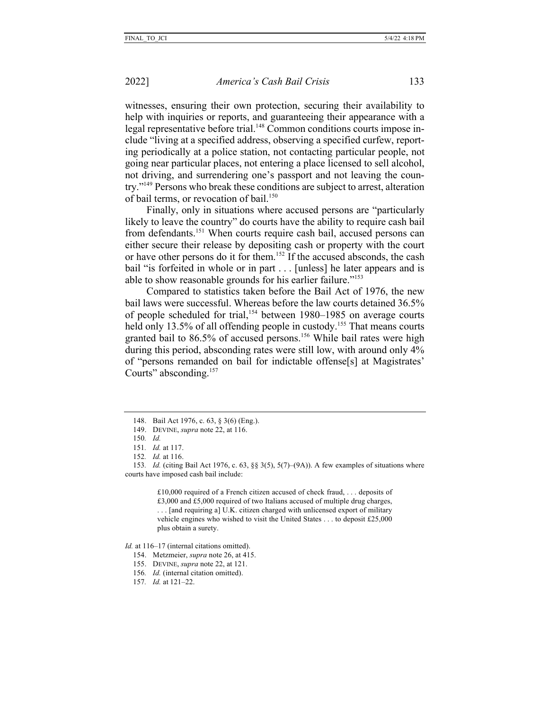witnesses, ensuring their own protection, securing their availability to help with inquiries or reports, and guaranteeing their appearance with a legal representative before trial.<sup>148</sup> Common conditions courts impose include "living at a specified address, observing a specified curfew, reporting periodically at a police station, not contacting particular people, not going near particular places, not entering a place licensed to sell alcohol, not driving, and surrendering one's passport and not leaving the country."149 Persons who break these conditions are subject to arrest, alteration of bail terms, or revocation of bail.<sup>150</sup>

Finally, only in situations where accused persons are "particularly likely to leave the country" do courts have the ability to require cash bail from defendants.<sup>151</sup> When courts require cash bail, accused persons can either secure their release by depositing cash or property with the court or have other persons do it for them.152 If the accused absconds, the cash bail "is forfeited in whole or in part . . . [unless] he later appears and is able to show reasonable grounds for his earlier failure."153

Compared to statistics taken before the Bail Act of 1976, the new bail laws were successful. Whereas before the law courts detained 36.5% of people scheduled for trial,<sup>154</sup> between 1980–1985 on average courts held only 13.5% of all offending people in custody.<sup>155</sup> That means courts granted bail to 86.5% of accused persons.<sup>156</sup> While bail rates were high during this period, absconding rates were still low, with around only 4% of "persons remanded on bail for indictable offense[s] at Magistrates' Courts" absconding.<sup>157</sup>

153*. Id.* (citing Bail Act 1976, c. 63, §§ 3(5), 5(7)–(9A)). A few examples of situations where courts have imposed cash bail include:

> £10,000 required of a French citizen accused of check fraud, . . . deposits of £3,000 and £5,000 required of two Italians accused of multiple drug charges, . . . [and requiring a] U.K. citizen charged with unlicensed export of military vehicle engines who wished to visit the United States . . . to deposit £25,000 plus obtain a surety.

*Id.* at 116–17 (internal citations omitted).

- 154. Metzmeier, *supra* note 26, at 415.
- 155. DEVINE, *supra* note 22, at 121.
- 156*. Id.* (internal citation omitted).
- 157*. Id.* at 121–22.

<sup>148.</sup> Bail Act 1976, c. 63, § 3(6) (Eng.).

<sup>149.</sup> DEVINE, *supra* note 22, at 116.

<sup>150</sup>*. Id.*

<sup>151</sup>*. Id.* at 117.

<sup>152</sup>*. Id.* at 116.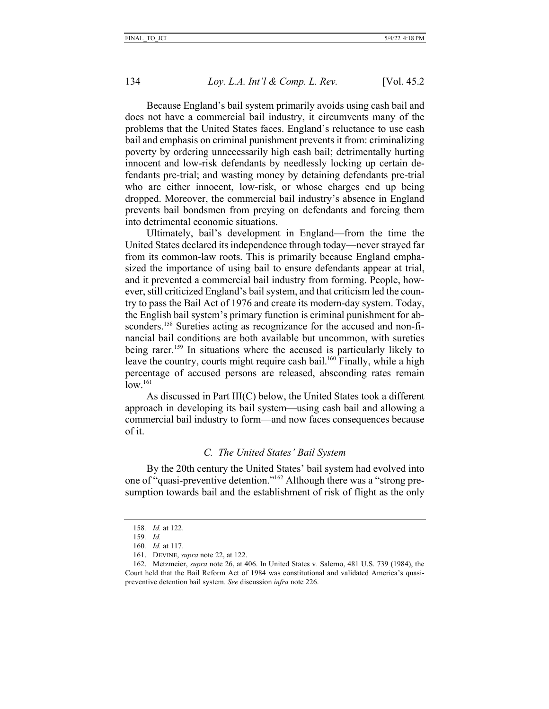Because England's bail system primarily avoids using cash bail and does not have a commercial bail industry, it circumvents many of the problems that the United States faces. England's reluctance to use cash bail and emphasis on criminal punishment prevents it from: criminalizing poverty by ordering unnecessarily high cash bail; detrimentally hurting innocent and low-risk defendants by needlessly locking up certain defendants pre-trial; and wasting money by detaining defendants pre-trial who are either innocent, low-risk, or whose charges end up being dropped. Moreover, the commercial bail industry's absence in England prevents bail bondsmen from preying on defendants and forcing them into detrimental economic situations.

Ultimately, bail's development in England—from the time the United States declared its independence through today—never strayed far from its common-law roots. This is primarily because England emphasized the importance of using bail to ensure defendants appear at trial, and it prevented a commercial bail industry from forming. People, however, still criticized England's bail system, and that criticism led the country to pass the Bail Act of 1976 and create its modern-day system. Today, the English bail system's primary function is criminal punishment for absconders.<sup>158</sup> Sureties acting as recognizance for the accused and non-financial bail conditions are both available but uncommon, with sureties being rarer.<sup>159</sup> In situations where the accused is particularly likely to leave the country, courts might require cash bail.<sup>160</sup> Finally, while a high percentage of accused persons are released, absconding rates remain  $\log^{161}$ 

As discussed in Part III(C) below, the United States took a different approach in developing its bail system—using cash bail and allowing a commercial bail industry to form—and now faces consequences because of it.

## *C. The United States' Bail System*

By the 20th century the United States' bail system had evolved into one of "quasi-preventive detention."162 Although there was a "strong presumption towards bail and the establishment of risk of flight as the only

<sup>158</sup>*. Id.* at 122.

<sup>159</sup>*. Id.*

<sup>160</sup>*. Id.* at 117.

<sup>161.</sup> DEVINE, *supra* note 22, at 122.

<sup>162.</sup> Metzmeier, *supra* note 26, at 406. In United States v. Salerno, 481 U.S. 739 (1984), the Court held that the Bail Reform Act of 1984 was constitutional and validated America's quasipreventive detention bail system. *See* discussion *infra* note 226.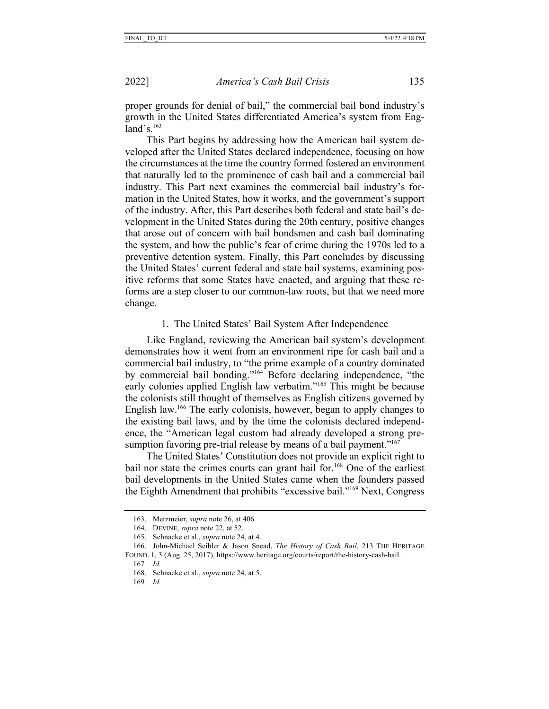proper grounds for denial of bail," the commercial bail bond industry's growth in the United States differentiated America's system from England's. $163$ 

This Part begins by addressing how the American bail system developed after the United States declared independence, focusing on how the circumstances at the time the country formed fostered an environment that naturally led to the prominence of cash bail and a commercial bail industry. This Part next examines the commercial bail industry's formation in the United States, how it works, and the government's support of the industry. After, this Part describes both federal and state bail's development in the United States during the 20th century, positive changes that arose out of concern with bail bondsmen and cash bail dominating the system, and how the public's fear of crime during the 1970s led to a preventive detention system. Finally, this Part concludes by discussing the United States' current federal and state bail systems, examining positive reforms that some States have enacted, and arguing that these reforms are a step closer to our common-law roots, but that we need more change.

## 1. The United States' Bail System After Independence

Like England, reviewing the American bail system's development demonstrates how it went from an environment ripe for cash bail and a commercial bail industry, to "the prime example of a country dominated by commercial bail bonding."164 Before declaring independence, "the early colonies applied English law verbatim."165 This might be because the colonists still thought of themselves as English citizens governed by English law.166 The early colonists, however, began to apply changes to the existing bail laws, and by the time the colonists declared independence, the "American legal custom had already developed a strong presumption favoring pre-trial release by means of a bail payment."<sup>167</sup>

The United States' Constitution does not provide an explicit right to bail nor state the crimes courts can grant bail for.<sup>168</sup> One of the earliest bail developments in the United States came when the founders passed the Eighth Amendment that prohibits "excessive bail."169 Next, Congress

<sup>163.</sup> Metzmeier, *supra* note 26, at 406.

<sup>164.</sup> DEVINE, *supra* note 22, at 52.

<sup>165.</sup> Schnacke et al., *supra* note 24, at 4.

<sup>166.</sup> John-Michael Seibler & Jason Snead, *The History of Cash Bail*, 213 THE HERITAGE FOUND. 1, 3 (Aug. 25, 2017), https://www.heritage.org/courts/report/the-history-cash-bail.

<sup>167</sup>*. Id.*

<sup>168.</sup> Schnacke et al., *supra* note 24, at 5.

<sup>169</sup>*. Id.*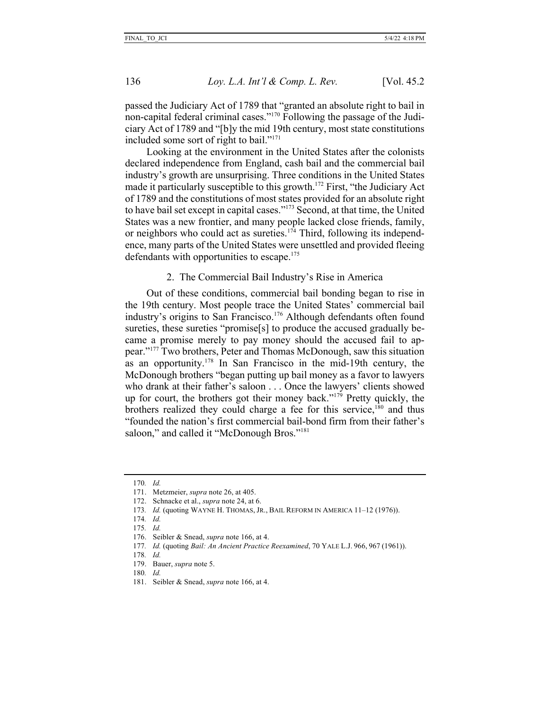passed the Judiciary Act of 1789 that "granted an absolute right to bail in non-capital federal criminal cases."170 Following the passage of the Judiciary Act of 1789 and "[b]y the mid 19th century, most state constitutions included some sort of right to bail."171

Looking at the environment in the United States after the colonists declared independence from England, cash bail and the commercial bail industry's growth are unsurprising. Three conditions in the United States made it particularly susceptible to this growth.<sup>172</sup> First, "the Judiciary Act" of 1789 and the constitutions of most states provided for an absolute right to have bail set except in capital cases."173 Second, at that time, the United States was a new frontier, and many people lacked close friends, family, or neighbors who could act as sureties.<sup>174</sup> Third, following its independence, many parts of the United States were unsettled and provided fleeing defendants with opportunities to escape.<sup>175</sup>

## 2. The Commercial Bail Industry's Rise in America

Out of these conditions, commercial bail bonding began to rise in the 19th century. Most people trace the United States' commercial bail industry's origins to San Francisco.<sup>176</sup> Although defendants often found sureties, these sureties "promise[s] to produce the accused gradually became a promise merely to pay money should the accused fail to appear."177 Two brothers, Peter and Thomas McDonough, saw this situation as an opportunity.178 In San Francisco in the mid-19th century, the McDonough brothers "began putting up bail money as a favor to lawyers who drank at their father's saloon . . . Once the lawyers' clients showed up for court, the brothers got their money back."179 Pretty quickly, the brothers realized they could charge a fee for this service, $180$  and thus "founded the nation's first commercial bail-bond firm from their father's saloon," and called it "McDonough Bros."<sup>181</sup>

180*. Id.*

<sup>170</sup>*. Id.*

<sup>171.</sup> Metzmeier, *supra* note 26, at 405.

<sup>172.</sup> Schnacke et al., *supra* note 24, at 6.

<sup>173</sup>*. Id.* (quoting WAYNE H. THOMAS, JR., BAIL REFORM IN AMERICA 11–12 (1976)).

<sup>174</sup>*. Id.*

<sup>175</sup>*. Id.*

<sup>176.</sup> Seibler & Snead, *supra* note 166, at 4.

<sup>177</sup>*. Id.* (quoting *Bail: An Ancient Practice Reexamined*, 70 YALE L.J. 966, 967 (1961)).

<sup>178</sup>*. Id.*

<sup>179.</sup> Bauer, *supra* note 5.

<sup>181.</sup> Seibler & Snead, *supra* note 166, at 4.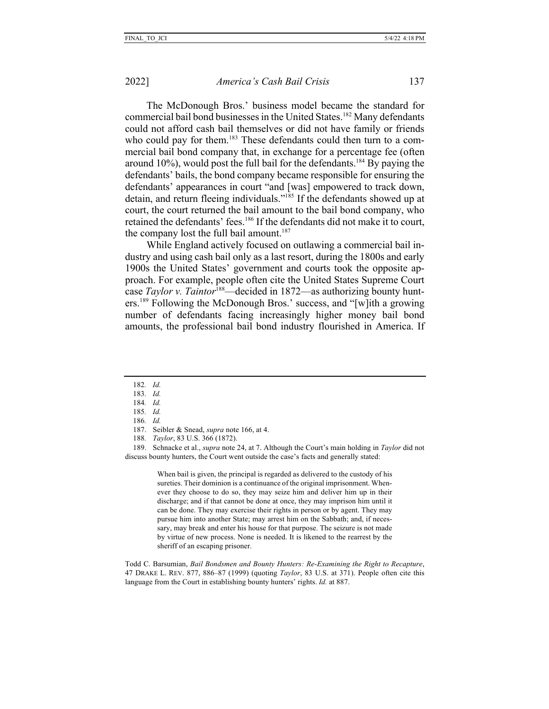The McDonough Bros.' business model became the standard for commercial bail bond businesses in the United States.<sup>182</sup> Many defendants could not afford cash bail themselves or did not have family or friends who could pay for them.<sup>183</sup> These defendants could then turn to a commercial bail bond company that, in exchange for a percentage fee (often around  $10\%$ ), would post the full bail for the defendants.<sup>184</sup> By paying the defendants' bails, the bond company became responsible for ensuring the defendants' appearances in court "and [was] empowered to track down, detain, and return fleeing individuals."185 If the defendants showed up at court, the court returned the bail amount to the bail bond company, who retained the defendants' fees.<sup>186</sup> If the defendants did not make it to court, the company lost the full bail amount.<sup>187</sup>

While England actively focused on outlawing a commercial bail industry and using cash bail only as a last resort, during the 1800s and early 1900s the United States' government and courts took the opposite approach. For example, people often cite the United States Supreme Court case *Taylor v. Taintor*<sup>188</sup>—decided in 1872—as authorizing bounty hunters.189 Following the McDonough Bros.' success, and "[w]ith a growing number of defendants facing increasingly higher money bail bond amounts, the professional bail bond industry flourished in America. If

182*. Id.*

189. Schnacke et al., *supra* note 24, at 7. Although the Court's main holding in *Taylor* did not discuss bounty hunters, the Court went outside the case's facts and generally stated:

> When bail is given, the principal is regarded as delivered to the custody of his sureties. Their dominion is a continuance of the original imprisonment. Whenever they choose to do so, they may seize him and deliver him up in their discharge; and if that cannot be done at once, they may imprison him until it can be done. They may exercise their rights in person or by agent. They may pursue him into another State; may arrest him on the Sabbath; and, if necessary, may break and enter his house for that purpose. The seizure is not made by virtue of new process. None is needed. It is likened to the rearrest by the sheriff of an escaping prisoner.

Todd C. Barsumian, *Bail Bondsmen and Bounty Hunters: Re-Examining the Right to Recapture*, 47 DRAKE L. REV. 877, 886–87 (1999) (quoting *Taylor*, 83 U.S. at 371). People often cite this language from the Court in establishing bounty hunters' rights. *Id.* at 887.

<sup>183</sup>*. Id.*

<sup>184</sup>*. Id.*

<sup>185</sup>*. Id.* 186*. Id.*

<sup>187.</sup> Seibler & Snead, *supra* note 166, at 4.

<sup>188</sup>*. Taylor*, 83 U.S. 366 (1872).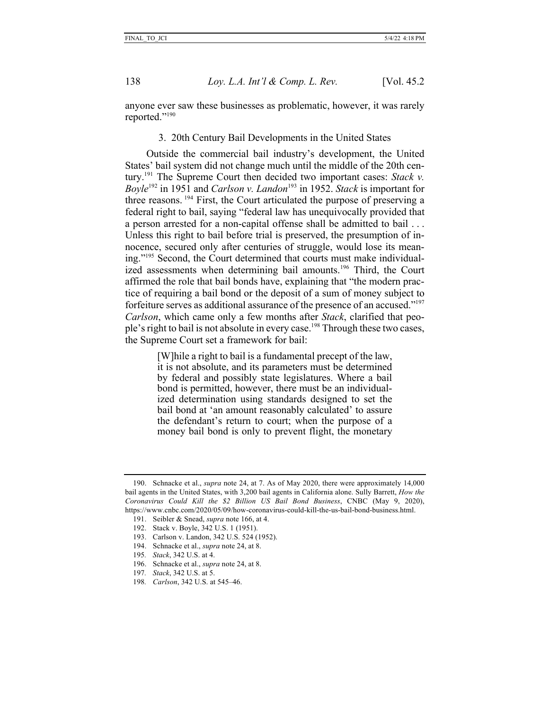anyone ever saw these businesses as problematic, however, it was rarely reported."190

### 3. 20th Century Bail Developments in the United States

Outside the commercial bail industry's development, the United States' bail system did not change much until the middle of the 20th century.191 The Supreme Court then decided two important cases: *Stack v. Boyle*<sup>192</sup> in 1951 and *Carlson v. Landon*<sup>193</sup> in 1952. *Stack* is important for three reasons. <sup>194</sup> First, the Court articulated the purpose of preserving a federal right to bail, saying "federal law has unequivocally provided that a person arrested for a non-capital offense shall be admitted to bail . . . Unless this right to bail before trial is preserved, the presumption of innocence, secured only after centuries of struggle, would lose its meaning."195 Second, the Court determined that courts must make individualized assessments when determining bail amounts.<sup>196</sup> Third, the Court affirmed the role that bail bonds have, explaining that "the modern practice of requiring a bail bond or the deposit of a sum of money subject to forfeiture serves as additional assurance of the presence of an accused."197 *Carlson*, which came only a few months after *Stack*, clarified that people's right to bail is not absolute in every case.<sup>198</sup> Through these two cases, the Supreme Court set a framework for bail:

> [W]hile a right to bail is a fundamental precept of the law, it is not absolute, and its parameters must be determined by federal and possibly state legislatures. Where a bail bond is permitted, however, there must be an individualized determination using standards designed to set the bail bond at 'an amount reasonably calculated' to assure the defendant's return to court; when the purpose of a money bail bond is only to prevent flight, the monetary

- 194. Schnacke et al., *supra* note 24, at 8.
- 195*. Stack*, 342 U.S. at 4.
- 196. Schnacke et al., *supra* note 24, at 8.
- 197*. Stack*, 342 U.S. at 5.
- 198*. Carlson*, 342 U.S. at 545–46.

<sup>190.</sup> Schnacke et al., *supra* note 24, at 7. As of May 2020, there were approximately 14,000 bail agents in the United States, with 3,200 bail agents in California alone. Sully Barrett, *How the Coronavirus Could Kill the \$2 Billion US Bail Bond Business*, CNBC (May 9, 2020), https://www.cnbc.com/2020/05/09/how-coronavirus-could-kill-the-us-bail-bond-business.html.

<sup>191.</sup> Seibler & Snead, *supra* note 166, at 4.

<sup>192.</sup> Stack v. Boyle, 342 U.S. 1 (1951).

<sup>193.</sup> Carlson v. Landon, 342 U.S. 524 (1952).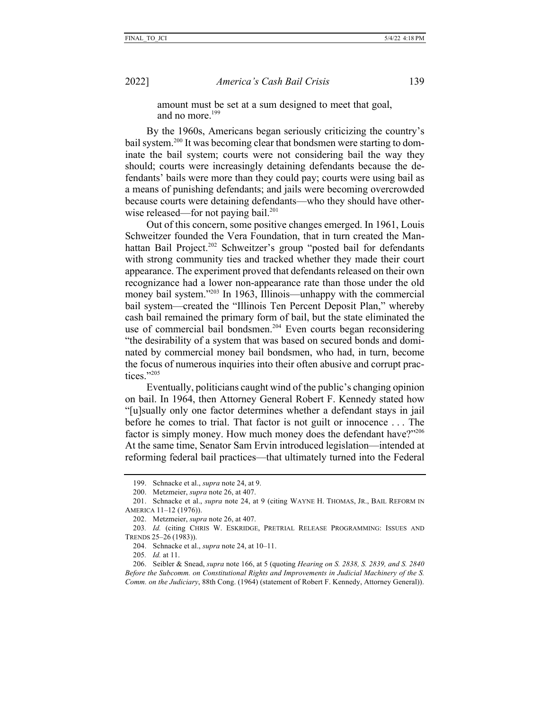amount must be set at a sum designed to meet that goal, and no more.<sup>199</sup>

By the 1960s, Americans began seriously criticizing the country's bail system.200 It was becoming clear that bondsmen were starting to dominate the bail system; courts were not considering bail the way they should; courts were increasingly detaining defendants because the defendants' bails were more than they could pay; courts were using bail as a means of punishing defendants; and jails were becoming overcrowded because courts were detaining defendants—who they should have otherwise released—for not paying bail.<sup>201</sup>

Out of this concern, some positive changes emerged. In 1961, Louis Schweitzer founded the Vera Foundation, that in turn created the Manhattan Bail Project.<sup>202</sup> Schweitzer's group "posted bail for defendants with strong community ties and tracked whether they made their court appearance. The experiment proved that defendants released on their own recognizance had a lower non-appearance rate than those under the old money bail system."<sup>203</sup> In 1963, Illinois—unhappy with the commercial bail system—created the "Illinois Ten Percent Deposit Plan," whereby cash bail remained the primary form of bail, but the state eliminated the use of commercial bail bondsmen.<sup>204</sup> Even courts began reconsidering "the desirability of a system that was based on secured bonds and dominated by commercial money bail bondsmen, who had, in turn, become the focus of numerous inquiries into their often abusive and corrupt practices."205

Eventually, politicians caught wind of the public's changing opinion on bail. In 1964, then Attorney General Robert F. Kennedy stated how "[u]sually only one factor determines whether a defendant stays in jail before he comes to trial. That factor is not guilt or innocence . . . The factor is simply money. How much money does the defendant have?"206 At the same time, Senator Sam Ervin introduced legislation—intended at reforming federal bail practices—that ultimately turned into the Federal

<sup>199.</sup> Schnacke et al., *supra* note 24, at 9.

<sup>200.</sup> Metzmeier, *supra* note 26, at 407.

<sup>201.</sup> Schnacke et al., *supra* note 24, at 9 (citing WAYNE H. THOMAS, JR., BAIL REFORM IN AMERICA 11–12 (1976)).

<sup>202.</sup> Metzmeier, *supra* note 26, at 407.

<sup>203</sup>*. Id.* (citing CHRIS W. ESKRIDGE, PRETRIAL RELEASE PROGRAMMING: ISSUES AND TRENDS 25–26 (1983)).

<sup>204.</sup> Schnacke et al., *supra* note 24, at 10–11.

<sup>205</sup>*. Id.* at 11.

<sup>206.</sup> Seibler & Snead, *supra* note 166, at 5 (quoting *Hearing on S. 2838, S. 2839, and S. 2840 Before the Subcomm. on Constitutional Rights and Improvements in Judicial Machinery of the S. Comm. on the Judiciary*, 88th Cong. (1964) (statement of Robert F. Kennedy, Attorney General)).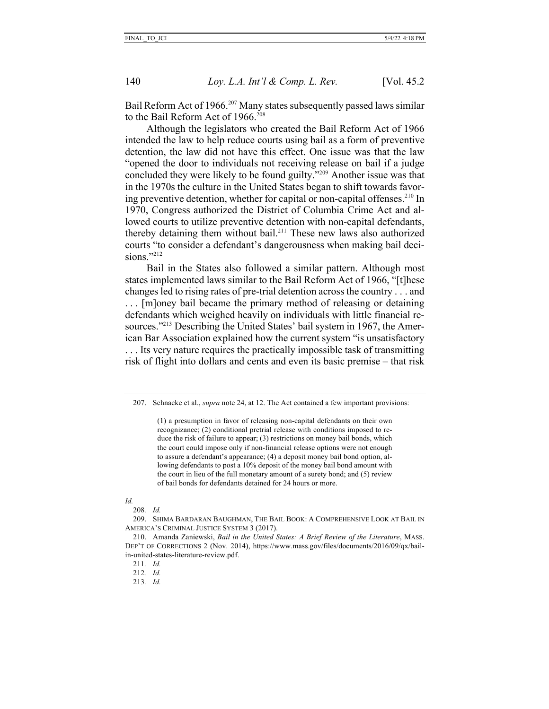Bail Reform Act of 1966.<sup>207</sup> Many states subsequently passed laws similar to the Bail Reform Act of  $1966$ <sup>208</sup>

Although the legislators who created the Bail Reform Act of 1966 intended the law to help reduce courts using bail as a form of preventive detention, the law did not have this effect. One issue was that the law "opened the door to individuals not receiving release on bail if a judge concluded they were likely to be found guilty."209 Another issue was that in the 1970s the culture in the United States began to shift towards favoring preventive detention, whether for capital or non-capital offenses.<sup>210</sup> In 1970, Congress authorized the District of Columbia Crime Act and allowed courts to utilize preventive detention with non-capital defendants, thereby detaining them without bail.211 These new laws also authorized courts "to consider a defendant's dangerousness when making bail decisions." $^{212}$ 

Bail in the States also followed a similar pattern. Although most states implemented laws similar to the Bail Reform Act of 1966, "[t]hese changes led to rising rates of pre-trial detention across the country . . . and . . . [m]oney bail became the primary method of releasing or detaining defendants which weighed heavily on individuals with little financial resources."<sup>213</sup> Describing the United States' bail system in 1967, the American Bar Association explained how the current system "is unsatisfactory . . . Its very nature requires the practically impossible task of transmitting risk of flight into dollars and cents and even its basic premise – that risk

(1) a presumption in favor of releasing non-capital defendants on their own recognizance; (2) conditional pretrial release with conditions imposed to reduce the risk of failure to appear; (3) restrictions on money bail bonds, which the court could impose only if non-financial release options were not enough to assure a defendant's appearance; (4) a deposit money bail bond option, allowing defendants to post a 10% deposit of the money bail bond amount with the court in lieu of the full monetary amount of a surety bond; and (5) review of bail bonds for defendants detained for 24 hours or more.

213*. Id.*

<sup>207.</sup> Schnacke et al., *supra* note 24, at 12. The Act contained a few important provisions:

*Id.*

<sup>208</sup>*. Id.*

<sup>209.</sup> SHIMA BARDARAN BAUGHMAN, THE BAIL BOOK: A COMPREHENSIVE LOOK AT BAIL IN AMERICA'S CRIMINAL JUSTICE SYSTEM 3 (2017).

<sup>210.</sup> Amanda Zaniewski, *Bail in the United States: A Brief Review of the Literature*, MASS. DEP'T OF CORRECTIONS 2 (Nov. 2014), https://www.mass.gov/files/documents/2016/09/qx/bailin-united-states-literature-review.pdf.

<sup>211</sup>*. Id.*

<sup>212</sup>*. Id.*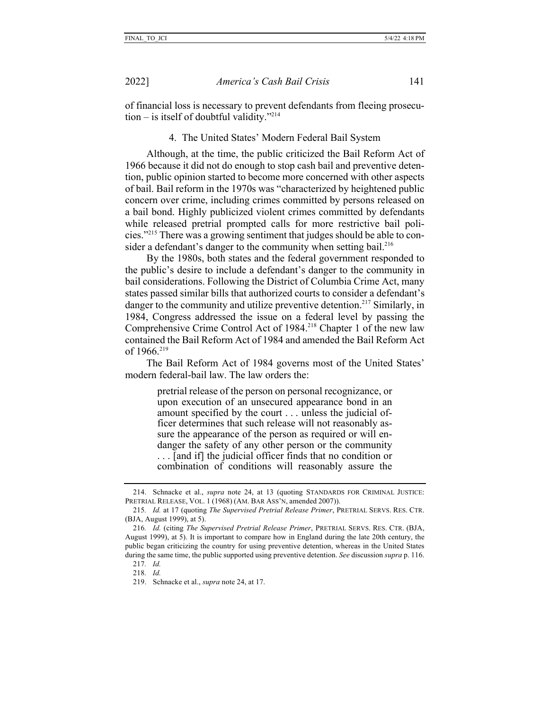of financial loss is necessary to prevent defendants from fleeing prosecution – is itself of doubtful validity."<sup>214</sup>

4. The United States' Modern Federal Bail System

Although, at the time, the public criticized the Bail Reform Act of 1966 because it did not do enough to stop cash bail and preventive detention, public opinion started to become more concerned with other aspects of bail. Bail reform in the 1970s was "characterized by heightened public concern over crime, including crimes committed by persons released on a bail bond. Highly publicized violent crimes committed by defendants while released pretrial prompted calls for more restrictive bail policies."215 There was a growing sentiment that judges should be able to consider a defendant's danger to the community when setting bail.<sup>216</sup>

By the 1980s, both states and the federal government responded to the public's desire to include a defendant's danger to the community in bail considerations. Following the District of Columbia Crime Act, many states passed similar bills that authorized courts to consider a defendant's danger to the community and utilize preventive detention.<sup>217</sup> Similarly, in 1984, Congress addressed the issue on a federal level by passing the Comprehensive Crime Control Act of 1984.218 Chapter 1 of the new law contained the Bail Reform Act of 1984 and amended the Bail Reform Act of  $1966^{219}$ 

The Bail Reform Act of 1984 governs most of the United States' modern federal-bail law. The law orders the:

> pretrial release of the person on personal recognizance, or upon execution of an unsecured appearance bond in an amount specified by the court . . . unless the judicial officer determines that such release will not reasonably assure the appearance of the person as required or will endanger the safety of any other person or the community . . . [and if] the judicial officer finds that no condition or combination of conditions will reasonably assure the

<sup>214.</sup> Schnacke et al., *supra* note 24, at 13 (quoting STANDARDS FOR CRIMINAL JUSTICE: PRETRIAL RELEASE, VOL. 1 (1968) (AM. BAR ASS'N, amended 2007)).

<sup>215</sup>*. Id.* at 17 (quoting *The Supervised Pretrial Release Primer*, PRETRIAL SERVS. RES. CTR. (BJA, August 1999), at 5).

<sup>216</sup>*. Id.* (citing *The Supervised Pretrial Release Primer*, PRETRIAL SERVS. RES. CTR. (BJA, August 1999), at 5). It is important to compare how in England during the late 20th century, the public began criticizing the country for using preventive detention, whereas in the United States during the same time, the public supported using preventive detention. *See* discussion *supra* p. 116.

<sup>217</sup>*. Id.*

<sup>218</sup>*. Id.*

<sup>219.</sup> Schnacke et al., *supra* note 24, at 17.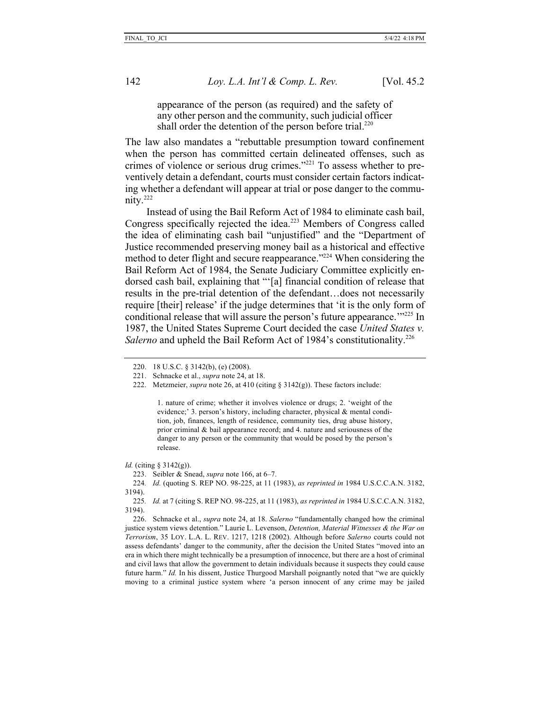appearance of the person (as required) and the safety of any other person and the community, such judicial officer shall order the detention of the person before trial.<sup>220</sup>

The law also mandates a "rebuttable presumption toward confinement when the person has committed certain delineated offenses, such as crimes of violence or serious drug crimes."221 To assess whether to preventively detain a defendant, courts must consider certain factors indicating whether a defendant will appear at trial or pose danger to the community.222

Instead of using the Bail Reform Act of 1984 to eliminate cash bail, Congress specifically rejected the idea.<sup>223</sup> Members of Congress called the idea of eliminating cash bail "unjustified" and the "Department of Justice recommended preserving money bail as a historical and effective method to deter flight and secure reappearance."<sup>224</sup> When considering the Bail Reform Act of 1984, the Senate Judiciary Committee explicitly endorsed cash bail, explaining that "'[a] financial condition of release that results in the pre-trial detention of the defendant…does not necessarily require [their] release' if the judge determines that 'it is the only form of conditional release that will assure the person's future appearance.<sup>'"225</sup> In 1987, the United States Supreme Court decided the case *United States v.*  Salerno and upheld the Bail Reform Act of 1984's constitutionality.<sup>226</sup>

1. nature of crime; whether it involves violence or drugs; 2. 'weight of the evidence;' 3. person's history, including character, physical & mental condition, job, finances, length of residence, community ties, drug abuse history, prior criminal & bail appearance record; and 4. nature and seriousness of the danger to any person or the community that would be posed by the person's release.

*Id.* (citing § 3142(g)).

224*. Id.* (quoting S. REP NO. 98-225, at 11 (1983), *as reprinted in* 1984 U.S.C.C.A.N. 3182, 3194).

225*. Id.* at 7 (citing S. REP NO. 98-225, at 11 (1983), *as reprinted in* 1984 U.S.C.C.A.N. 3182, 3194).

226. Schnacke et al., *supra* note 24, at 18. *Salerno* "fundamentally changed how the criminal justice system views detention." Laurie L. Levenson, *Detention, Material Witnesses & the War on Terrorism*, 35 LOY. L.A. L. REV. 1217, 1218 (2002). Although before *Salerno* courts could not assess defendants' danger to the community, after the decision the United States "moved into an era in which there might technically be a presumption of innocence, but there are a host of criminal and civil laws that allow the government to detain individuals because it suspects they could cause future harm." *Id.* In his dissent, Justice Thurgood Marshall poignantly noted that "we are quickly moving to a criminal justice system where 'a person innocent of any crime may be jailed

<sup>220.</sup> 18 U.S.C. § 3142(b), (e) (2008).

<sup>221.</sup> Schnacke et al., *supra* note 24, at 18.

<sup>222.</sup> Metzmeier, *supra* note 26, at 410 (citing § 3142(g)). These factors include:

<sup>223.</sup> Seibler & Snead, *supra* note 166, at 6–7.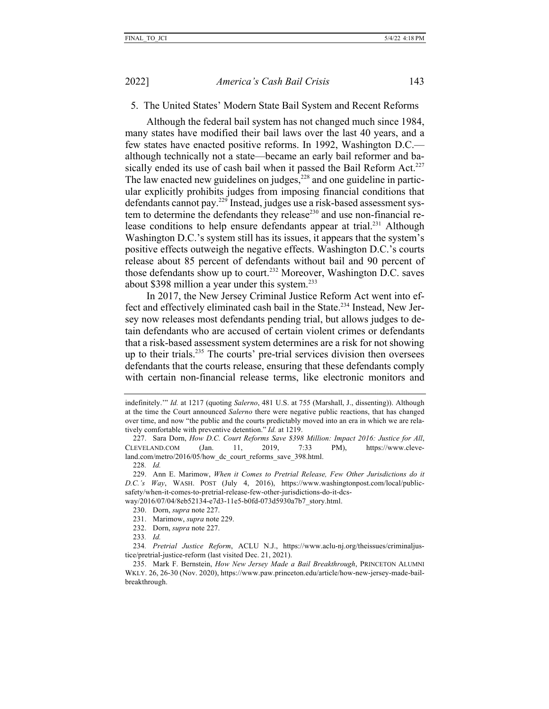#### 5. The United States' Modern State Bail System and Recent Reforms

Although the federal bail system has not changed much since 1984, many states have modified their bail laws over the last 40 years, and a few states have enacted positive reforms. In 1992, Washington D.C. although technically not a state—became an early bail reformer and basically ended its use of cash bail when it passed the Bail Reform Act.<sup>227</sup> The law enacted new guidelines on judges, $228$  and one guideline in particular explicitly prohibits judges from imposing financial conditions that defendants cannot pay.229 Instead, judges use a risk-based assessment system to determine the defendants they release<sup>230</sup> and use non-financial release conditions to help ensure defendants appear at trial.<sup>231</sup> Although Washington D.C.'s system still has its issues, it appears that the system's positive effects outweigh the negative effects. Washington D.C.'s courts release about 85 percent of defendants without bail and 90 percent of those defendants show up to court.<sup>232</sup> Moreover, Washington D.C. saves about \$398 million a year under this system.<sup>233</sup>

In 2017, the New Jersey Criminal Justice Reform Act went into effect and effectively eliminated cash bail in the State.<sup>234</sup> Instead, New Jersey now releases most defendants pending trial, but allows judges to detain defendants who are accused of certain violent crimes or defendants that a risk-based assessment system determines are a risk for not showing up to their trials.235 The courts' pre-trial services division then oversees defendants that the courts release, ensuring that these defendants comply with certain non-financial release terms, like electronic monitors and

228*. Id.*

232. Dorn, *supra* note 227.

indefinitely.'" *Id.* at 1217 (quoting *Salerno*, 481 U.S. at 755 (Marshall, J., dissenting)). Although at the time the Court announced *Salerno* there were negative public reactions, that has changed over time, and now "the public and the courts predictably moved into an era in which we are relatively comfortable with preventive detention." *Id.* at 1219.

<sup>227.</sup> Sara Dorn, *How D.C. Court Reforms Save \$398 Million: Impact 2016: Justice for All*, CLEVELAND.COM (Jan. 11, 2019, 7:33 PM), https://www.cleveland.com/metro/2016/05/how\_dc\_court\_reforms\_save\_398.html.

<sup>229.</sup> Ann E. Marimow, *When it Comes to Pretrial Release, Few Other Jurisdictions do it D.C.'s Way*, WASH. POST (July 4, 2016), https://www.washingtonpost.com/local/publicsafety/when-it-comes-to-pretrial-release-few-other-jurisdictions-do-it-dcsway/2016/07/04/8eb52134-e7d3-11e5-b0fd-073d5930a7b7\_story.html.

<sup>230.</sup> Dorn, *supra* note 227.

<sup>231.</sup> Marimow, *supra* note 229.

<sup>233</sup>*. Id.*

<sup>234</sup>*. Pretrial Justice Reform*, ACLU N.J., https://www.aclu-nj.org/theissues/criminaljustice/pretrial-justice-reform (last visited Dec. 21, 2021).

<sup>235.</sup> Mark F. Bernstein, *How New Jersey Made a Bail Breakthrough*, PRINCETON ALUMNI WKLY. 26, 26-30 (Nov. 2020), https://www.paw.princeton.edu/article/how-new-jersey-made-bailbreakthrough.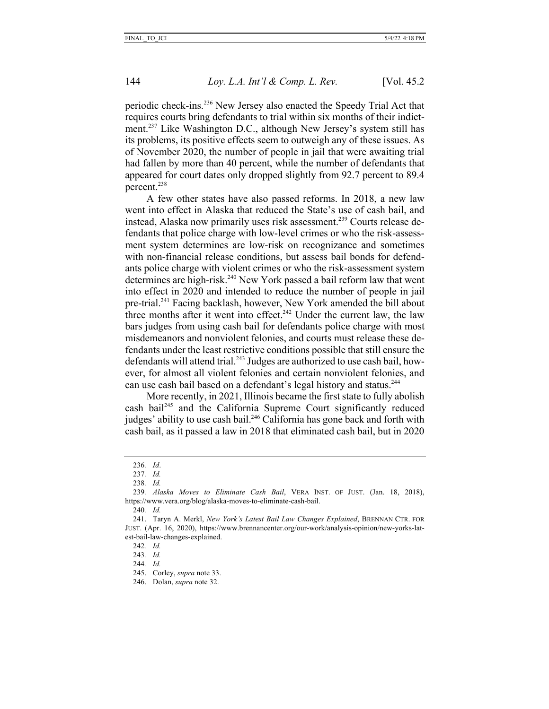periodic check-ins.236 New Jersey also enacted the Speedy Trial Act that requires courts bring defendants to trial within six months of their indictment.237 Like Washington D.C., although New Jersey's system still has its problems, its positive effects seem to outweigh any of these issues. As of November 2020, the number of people in jail that were awaiting trial had fallen by more than 40 percent, while the number of defendants that appeared for court dates only dropped slightly from 92.7 percent to 89.4 percent.238

A few other states have also passed reforms. In 2018, a new law went into effect in Alaska that reduced the State's use of cash bail, and instead, Alaska now primarily uses risk assessment.<sup>239</sup> Courts release defendants that police charge with low-level crimes or who the risk-assessment system determines are low-risk on recognizance and sometimes with non-financial release conditions, but assess bail bonds for defendants police charge with violent crimes or who the risk-assessment system determines are high-risk.<sup>240</sup> New York passed a bail reform law that went into effect in 2020 and intended to reduce the number of people in jail pre-trial.241 Facing backlash, however, New York amended the bill about three months after it went into effect.<sup>242</sup> Under the current law, the law bars judges from using cash bail for defendants police charge with most misdemeanors and nonviolent felonies, and courts must release these defendants under the least restrictive conditions possible that still ensure the defendants will attend trial.<sup>243</sup> Judges are authorized to use cash bail, however, for almost all violent felonies and certain nonviolent felonies, and can use cash bail based on a defendant's legal history and status.<sup>244</sup>

More recently, in 2021, Illinois became the first state to fully abolish cash bail245 and the California Supreme Court significantly reduced judges' ability to use cash bail.<sup>246</sup> California has gone back and forth with cash bail, as it passed a law in 2018 that eliminated cash bail, but in 2020

<sup>236</sup>*. Id*.

<sup>237</sup>*. Id.*

<sup>238</sup>*. Id.*

<sup>239</sup>*. Alaska Moves to Eliminate Cash Bail*, VERA INST. OF JUST. (Jan. 18, 2018), https://www.vera.org/blog/alaska-moves-to-eliminate-cash-bail.

<sup>240</sup>*. Id.*

<sup>241.</sup> Taryn A. Merkl, *New York's Latest Bail Law Changes Explained*, BRENNAN CTR. FOR JUST. (Apr. 16, 2020), https://www.brennancenter.org/our-work/analysis-opinion/new-yorks-latest-bail-law-changes-explained.

<sup>242</sup>*. Id.*

<sup>243</sup>*. Id.*

<sup>244</sup>*. Id.*

<sup>245.</sup> Corley, *supra* note 33.

<sup>246.</sup> Dolan, *supra* note 32.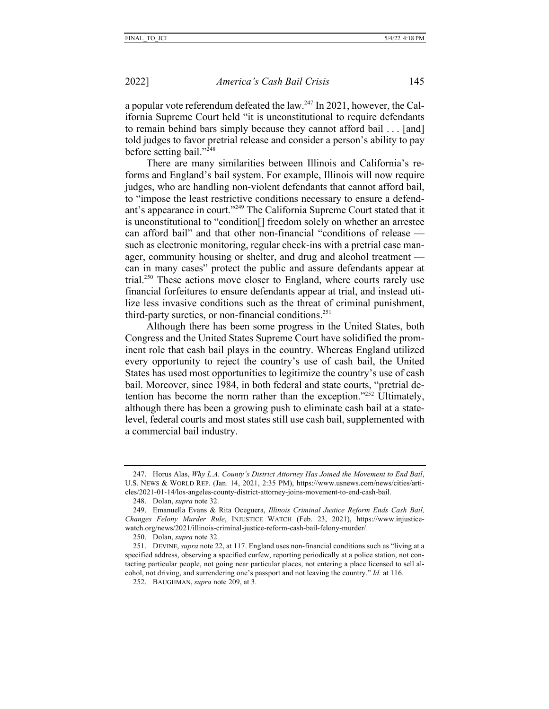a popular vote referendum defeated the law.247 In 2021, however, the California Supreme Court held "it is unconstitutional to require defendants to remain behind bars simply because they cannot afford bail . . . [and] told judges to favor pretrial release and consider a person's ability to pay before setting bail."248

There are many similarities between Illinois and California's reforms and England's bail system. For example, Illinois will now require judges, who are handling non-violent defendants that cannot afford bail, to "impose the least restrictive conditions necessary to ensure a defendant's appearance in court."249 The California Supreme Court stated that it is unconstitutional to "condition[] freedom solely on whether an arrestee can afford bail" and that other non-financial "conditions of release such as electronic monitoring, regular check-ins with a pretrial case manager, community housing or shelter, and drug and alcohol treatment can in many cases" protect the public and assure defendants appear at trial.250 These actions move closer to England, where courts rarely use financial forfeitures to ensure defendants appear at trial, and instead utilize less invasive conditions such as the threat of criminal punishment, third-party sureties, or non-financial conditions.<sup>251</sup>

Although there has been some progress in the United States, both Congress and the United States Supreme Court have solidified the prominent role that cash bail plays in the country. Whereas England utilized every opportunity to reject the country's use of cash bail, the United States has used most opportunities to legitimize the country's use of cash bail. Moreover, since 1984, in both federal and state courts, "pretrial detention has become the norm rather than the exception."<sup>252</sup> Ultimately, although there has been a growing push to eliminate cash bail at a statelevel, federal courts and most states still use cash bail, supplemented with a commercial bail industry.

<sup>247.</sup> Horus Alas, *Why L.A. County's District Attorney Has Joined the Movement to End Bail*, U.S. NEWS & WORLD REP. (Jan. 14, 2021, 2:35 PM), https://www.usnews.com/news/cities/articles/2021-01-14/los-angeles-county-district-attorney-joins-movement-to-end-cash-bail.

<sup>248.</sup> Dolan, *supra* note 32.

<sup>249.</sup> Emanuella Evans & Rita Oceguera, *Illinois Criminal Justice Reform Ends Cash Bail, Changes Felony Murder Rule*, INJUSTICE WATCH (Feb. 23, 2021), https://www.injusticewatch.org/news/2021/illinois-criminal-justice-reform-cash-bail-felony-murder/.

<sup>250.</sup> Dolan, *supra* note 32.

<sup>251.</sup> DEVINE, *supra* note 22, at 117. England uses non-financial conditions such as "living at a specified address, observing a specified curfew, reporting periodically at a police station, not contacting particular people, not going near particular places, not entering a place licensed to sell alcohol, not driving, and surrendering one's passport and not leaving the country." *Id.* at 116.

<sup>252.</sup> BAUGHMAN, *supra* note 209, at 3.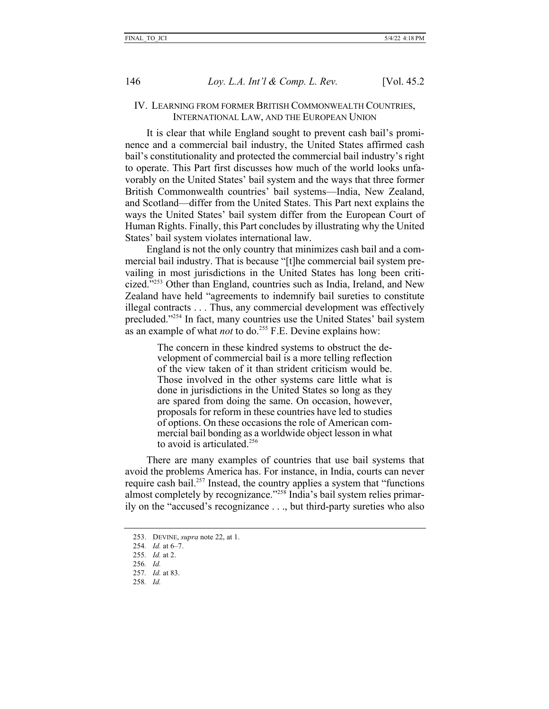## IV. LEARNING FROM FORMER BRITISH COMMONWEALTH COUNTRIES, INTERNATIONAL LAW, AND THE EUROPEAN UNION

It is clear that while England sought to prevent cash bail's prominence and a commercial bail industry, the United States affirmed cash bail's constitutionality and protected the commercial bail industry's right to operate. This Part first discusses how much of the world looks unfavorably on the United States' bail system and the ways that three former British Commonwealth countries' bail systems—India, New Zealand, and Scotland—differ from the United States. This Part next explains the ways the United States' bail system differ from the European Court of Human Rights. Finally, this Part concludes by illustrating why the United States' bail system violates international law.

England is not the only country that minimizes cash bail and a commercial bail industry. That is because "[t]he commercial bail system prevailing in most jurisdictions in the United States has long been criticized."253 Other than England, countries such as India, Ireland, and New Zealand have held "agreements to indemnify bail sureties to constitute illegal contracts . . . Thus, any commercial development was effectively precluded."254 In fact, many countries use the United States' bail system as an example of what *not* to do.<sup>255</sup> F.E. Devine explains how:

> The concern in these kindred systems to obstruct the development of commercial bail is a more telling reflection of the view taken of it than strident criticism would be. Those involved in the other systems care little what is done in jurisdictions in the United States so long as they are spared from doing the same. On occasion, however, proposals for reform in these countries have led to studies of options. On these occasions the role of American commercial bail bonding as a worldwide object lesson in what to avoid is articulated.256

There are many examples of countries that use bail systems that avoid the problems America has. For instance, in India, courts can never require cash bail.<sup>257</sup> Instead, the country applies a system that "functions" almost completely by recognizance."258 India's bail system relies primarily on the "accused's recognizance . . ., but third-party sureties who also

- 256*. Id.*
- 257*. Id.* at 83.
- 258*. Id.*

<sup>253.</sup> DEVINE, *supra* note 22, at 1.

<sup>254</sup>*. Id.* at 6–7.

<sup>255</sup>*. Id.* at 2.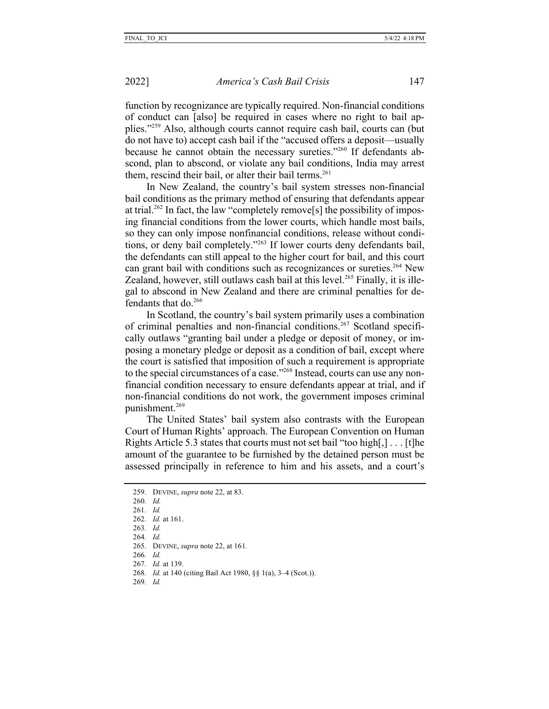function by recognizance are typically required. Non-financial conditions of conduct can [also] be required in cases where no right to bail applies."259 Also, although courts cannot require cash bail, courts can (but do not have to) accept cash bail if the "accused offers a deposit—usually because he cannot obtain the necessary sureties."260 If defendants abscond, plan to abscond, or violate any bail conditions, India may arrest them, rescind their bail, or alter their bail terms.<sup>261</sup>

In New Zealand, the country's bail system stresses non-financial bail conditions as the primary method of ensuring that defendants appear at trial.<sup>262</sup> In fact, the law "completely remove<sup>[s]</sup> the possibility of imposing financial conditions from the lower courts, which handle most bails, so they can only impose nonfinancial conditions, release without conditions, or deny bail completely."263 If lower courts deny defendants bail, the defendants can still appeal to the higher court for bail, and this court can grant bail with conditions such as recognizances or sureties.<sup>264</sup> New Zealand, however, still outlaws cash bail at this level.<sup>265</sup> Finally, it is illegal to abscond in New Zealand and there are criminal penalties for defendants that do. $266$ 

In Scotland, the country's bail system primarily uses a combination of criminal penalties and non-financial conditions.267 Scotland specifically outlaws "granting bail under a pledge or deposit of money, or imposing a monetary pledge or deposit as a condition of bail, except where the court is satisfied that imposition of such a requirement is appropriate to the special circumstances of a case."268 Instead, courts can use any nonfinancial condition necessary to ensure defendants appear at trial, and if non-financial conditions do not work, the government imposes criminal punishment.269

The United States' bail system also contrasts with the European Court of Human Rights' approach. The European Convention on Human Rights Article 5.3 states that courts must not set bail "too high[,] . . . [t]he amount of the guarantee to be furnished by the detained person must be assessed principally in reference to him and his assets, and a court's

259. DEVINE, *supra* note 22, at 83. 260*. Id.* 261*. Id.* 262*. Id.* at 161. 263*. Id.* 264*. Id.* 265. DEVINE, *supra* note 22, at 161*.* 266*. Id.* 267*. Id.* at 139. 268*. Id.* at 140 (citing Bail Act 1980, §§ 1(a), 3–4 (Scot.)). 269*. Id.*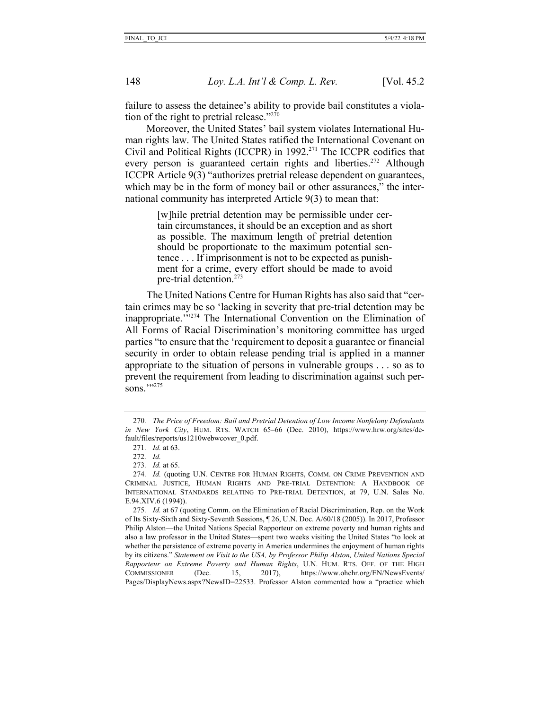failure to assess the detainee's ability to provide bail constitutes a violation of the right to pretrial release." $270$ 

Moreover, the United States' bail system violates International Human rights law. The United States ratified the International Covenant on Civil and Political Rights (ICCPR) in 1992.271 The ICCPR codifies that every person is guaranteed certain rights and liberties.<sup>272</sup> Although ICCPR Article 9(3) "authorizes pretrial release dependent on guarantees, which may be in the form of money bail or other assurances," the international community has interpreted Article 9(3) to mean that:

> [w] hile pretrial detention may be permissible under certain circumstances, it should be an exception and as short as possible. The maximum length of pretrial detention should be proportionate to the maximum potential sentence . . . If imprisonment is not to be expected as punishment for a crime, every effort should be made to avoid pre-trial detention.273

The United Nations Centre for Human Rights has also said that "certain crimes may be so 'lacking in severity that pre-trial detention may be inappropriate."<sup>274</sup> The International Convention on the Elimination of All Forms of Racial Discrimination's monitoring committee has urged parties "to ensure that the 'requirement to deposit a guarantee or financial security in order to obtain release pending trial is applied in a manner appropriate to the situation of persons in vulnerable groups . . . so as to prevent the requirement from leading to discrimination against such persons.""275

<sup>270</sup>*. The Price of Freedom: Bail and Pretrial Detention of Low Income Nonfelony Defendants in New York City*, HUM. RTS. WATCH 65–66 (Dec. 2010), https://www.hrw.org/sites/default/files/reports/us1210webwcover\_0.pdf.

<sup>271</sup>*. Id.* at 63.

<sup>272</sup>*. Id.*

<sup>273</sup>*. Id.* at 65.

<sup>274</sup>*. Id.* (quoting U.N. CENTRE FOR HUMAN RIGHTS, COMM. ON CRIME PREVENTION AND CRIMINAL JUSTICE, HUMAN RIGHTS AND PRE-TRIAL DETENTION: A HANDBOOK OF INTERNATIONAL STANDARDS RELATING TO PRE-TRIAL DETENTION, at 79, U.N. Sales No. E.94.XIV.6 (1994)).

<sup>275</sup>*. Id.* at 67 (quoting Comm. on the Elimination of Racial Discrimination, Rep. on the Work of Its Sixty-Sixth and Sixty-Seventh Sessions, ¶ 26, U.N. Doc. A/60/18 (2005)). In 2017, Professor Philip Alston—the United Nations Special Rapporteur on extreme poverty and human rights and also a law professor in the United States—spent two weeks visiting the United States "to look at whether the persistence of extreme poverty in America undermines the enjoyment of human rights by its citizens." *Statement on Visit to the USA, by Professor Philip Alston, United Nations Special Rapporteur on Extreme Poverty and Human Rights*, U.N. HUM. RTS. OFF. OF THE HIGH COMMISSIONER (Dec. 15, 2017), https://www.ohchr.org/EN/NewsEvents/ Pages/DisplayNews.aspx?NewsID=22533. Professor Alston commented how a "practice which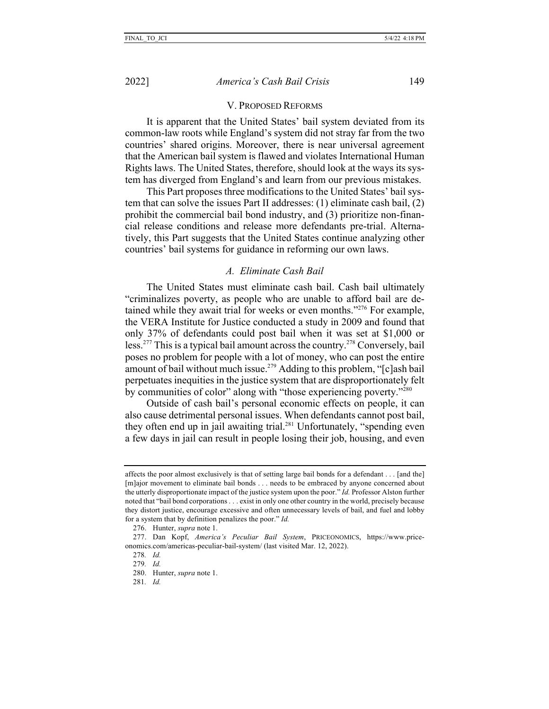#### V. PROPOSED REFORMS

It is apparent that the United States' bail system deviated from its common-law roots while England's system did not stray far from the two countries' shared origins. Moreover, there is near universal agreement that the American bail system is flawed and violates International Human Rights laws. The United States, therefore, should look at the ways its system has diverged from England's and learn from our previous mistakes.

This Part proposes three modifications to the United States' bail system that can solve the issues Part II addresses: (1) eliminate cash bail, (2) prohibit the commercial bail bond industry, and (3) prioritize non-financial release conditions and release more defendants pre-trial. Alternatively, this Part suggests that the United States continue analyzing other countries' bail systems for guidance in reforming our own laws.

#### *A. Eliminate Cash Bail*

The United States must eliminate cash bail. Cash bail ultimately "criminalizes poverty, as people who are unable to afford bail are detained while they await trial for weeks or even months."276 For example, the VERA Institute for Justice conducted a study in 2009 and found that only 37% of defendants could post bail when it was set at \$1,000 or less.<sup>277</sup> This is a typical bail amount across the country.<sup>278</sup> Conversely, bail poses no problem for people with a lot of money, who can post the entire amount of bail without much issue.<sup>279</sup> Adding to this problem, "[c]ash bail perpetuates inequities in the justice system that are disproportionately felt by communities of color" along with "those experiencing poverty."280

Outside of cash bail's personal economic effects on people, it can also cause detrimental personal issues. When defendants cannot post bail, they often end up in jail awaiting trial.<sup>281</sup> Unfortunately, "spending even a few days in jail can result in people losing their job, housing, and even

affects the poor almost exclusively is that of setting large bail bonds for a defendant . . . [and the] [m]ajor movement to eliminate bail bonds . . . needs to be embraced by anyone concerned about the utterly disproportionate impact of the justice system upon the poor." *Id.* Professor Alston further noted that "bail bond corporations . . . exist in only one other country in the world, precisely because they distort justice, encourage excessive and often unnecessary levels of bail, and fuel and lobby for a system that by definition penalizes the poor." *Id.*

<sup>276.</sup> Hunter, *supra* note 1.

<sup>277.</sup> Dan Kopf, *America's Peculiar Bail System*, PRICEONOMICS, https://www.priceonomics.com/americas-peculiar-bail-system/ (last visited Mar. 12, 2022).

<sup>278</sup>*. Id.*

<sup>279</sup>*. Id.*

<sup>280.</sup> Hunter, *supra* note 1.

<sup>281</sup>*. Id.*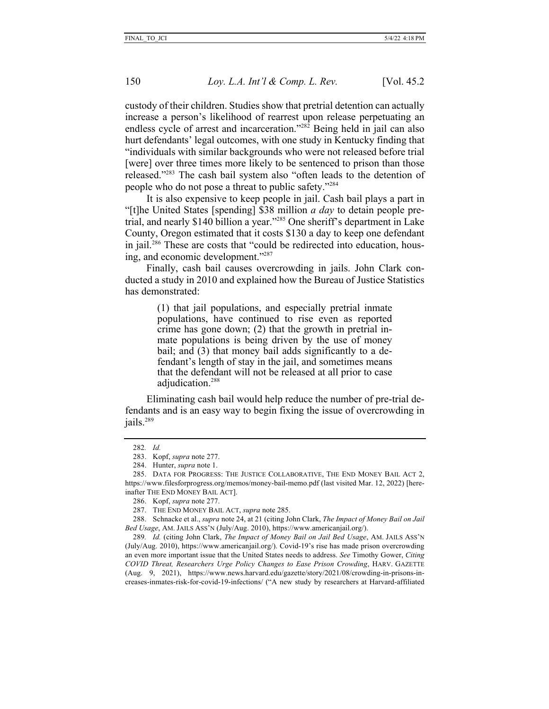custody of their children. Studies show that pretrial detention can actually increase a person's likelihood of rearrest upon release perpetuating an endless cycle of arrest and incarceration."282 Being held in jail can also hurt defendants' legal outcomes, with one study in Kentucky finding that "individuals with similar backgrounds who were not released before trial [were] over three times more likely to be sentenced to prison than those released."283 The cash bail system also "often leads to the detention of people who do not pose a threat to public safety."284

It is also expensive to keep people in jail. Cash bail plays a part in "[t]he United States [spending] \$38 million *a day* to detain people pretrial, and nearly \$140 billion a year."285 One sheriff's department in Lake County, Oregon estimated that it costs \$130 a day to keep one defendant in jail.286 These are costs that "could be redirected into education, housing, and economic development."<sup>287</sup>

Finally, cash bail causes overcrowding in jails. John Clark conducted a study in 2010 and explained how the Bureau of Justice Statistics has demonstrated:

> (1) that jail populations, and especially pretrial inmate populations, have continued to rise even as reported crime has gone down; (2) that the growth in pretrial inmate populations is being driven by the use of money bail; and (3) that money bail adds significantly to a defendant's length of stay in the jail, and sometimes means that the defendant will not be released at all prior to case adiudication.<sup>288</sup>

Eliminating cash bail would help reduce the number of pre-trial defendants and is an easy way to begin fixing the issue of overcrowding in jails.<sup>289</sup>

<sup>282</sup>*. Id.*

<sup>283.</sup> Kopf, *supra* note 277.

<sup>284.</sup> Hunter, *supra* note 1.

<sup>285.</sup> DATA FOR PROGRESS: THE JUSTICE COLLABORATIVE, THE END MONEY BAIL ACT 2, https://www.filesforprogress.org/memos/money-bail-memo.pdf (last visited Mar. 12, 2022) [hereinafter THE END MONEY BAIL ACT].

<sup>286.</sup> Kopf, *supra* note 277.

<sup>287.</sup> THE END MONEY BAIL ACT, *supra* note 285.

<sup>288.</sup> Schnacke et al., *supra* note 24, at 21 (citing John Clark, *The Impact of Money Bail on Jail Bed Usage*, AM. JAILS ASS'N (July/Aug. 2010), https://www.americanjail.org/).

<sup>289</sup>*. Id.* (citing John Clark, *The Impact of Money Bail on Jail Bed Usage*, AM. JAILS ASS'N (July/Aug. 2010), https://www.americanjail.org/). Covid-19's rise has made prison overcrowding an even more important issue that the United States needs to address. *See* Timothy Gower, *Citing COVID Threat, Researchers Urge Policy Changes to Ease Prison Crowding*, HARV. GAZETTE (Aug. 9, 2021), https://www.news.harvard.edu/gazette/story/2021/08/crowding-in-prisons-increases-inmates-risk-for-covid-19-infections/ ("A new study by researchers at Harvard-affiliated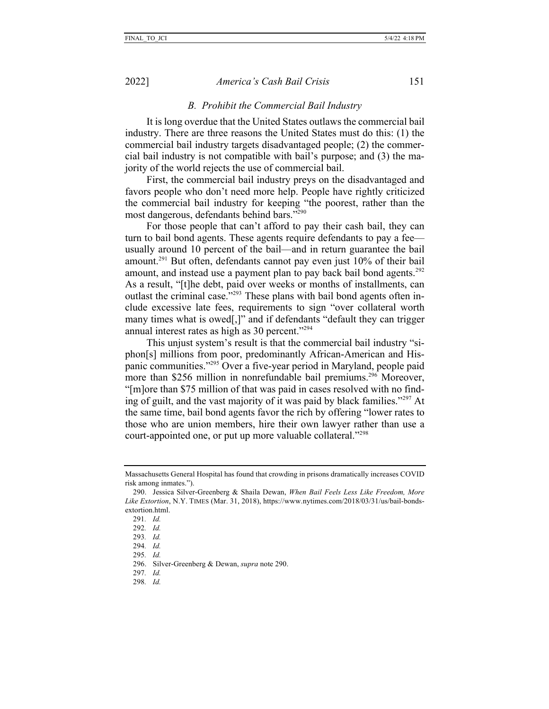#### *B. Prohibit the Commercial Bail Industry*

It is long overdue that the United States outlaws the commercial bail industry. There are three reasons the United States must do this: (1) the commercial bail industry targets disadvantaged people; (2) the commercial bail industry is not compatible with bail's purpose; and (3) the majority of the world rejects the use of commercial bail.

First, the commercial bail industry preys on the disadvantaged and favors people who don't need more help. People have rightly criticized the commercial bail industry for keeping "the poorest, rather than the most dangerous, defendants behind bars."290

For those people that can't afford to pay their cash bail, they can turn to bail bond agents. These agents require defendants to pay a fee usually around 10 percent of the bail—and in return guarantee the bail amount.291 But often, defendants cannot pay even just 10% of their bail amount, and instead use a payment plan to pay back bail bond agents.<sup>292</sup> As a result, "[t]he debt, paid over weeks or months of installments, can outlast the criminal case."<sup>293</sup> These plans with bail bond agents often include excessive late fees, requirements to sign "over collateral worth many times what is owed[,]" and if defendants "default they can trigger annual interest rates as high as 30 percent."<sup>294</sup>

This unjust system's result is that the commercial bail industry "siphon[s] millions from poor, predominantly African-American and Hispanic communities."295 Over a five-year period in Maryland, people paid more than \$256 million in nonrefundable bail premiums.<sup>296</sup> Moreover, "[m]ore than \$75 million of that was paid in cases resolved with no finding of guilt, and the vast majority of it was paid by black families."297 At the same time, bail bond agents favor the rich by offering "lower rates to those who are union members, hire their own lawyer rather than use a court-appointed one, or put up more valuable collateral."298

- 293*. Id.*
- 294*. Id.*
- 295*. Id.*

- 297*. Id.*
- 298*. Id.*

Massachusetts General Hospital has found that crowding in prisons dramatically increases COVID risk among inmates.").

<sup>290.</sup> Jessica Silver-Greenberg & Shaila Dewan, *When Bail Feels Less Like Freedom, More Like Extortion*, N.Y. TIMES (Mar. 31, 2018), https://www.nytimes.com/2018/03/31/us/bail-bondsextortion.html.

<sup>291</sup>*. Id.*

<sup>292</sup>*. Id.*

<sup>296.</sup> Silver-Greenberg & Dewan, *supra* note 290.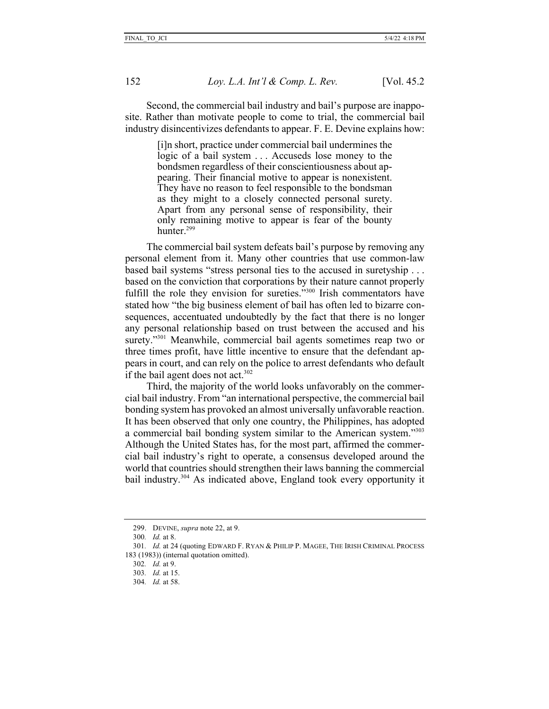Second, the commercial bail industry and bail's purpose are inapposite. Rather than motivate people to come to trial, the commercial bail industry disincentivizes defendants to appear. F. E. Devine explains how:

> [i]n short, practice under commercial bail undermines the logic of a bail system . . . Accuseds lose money to the bondsmen regardless of their conscientiousness about appearing. Their financial motive to appear is nonexistent. They have no reason to feel responsible to the bondsman as they might to a closely connected personal surety. Apart from any personal sense of responsibility, their only remaining motive to appear is fear of the bounty hunter.<sup>299</sup>

The commercial bail system defeats bail's purpose by removing any personal element from it. Many other countries that use common-law based bail systems "stress personal ties to the accused in suretyship . . . based on the conviction that corporations by their nature cannot properly fulfill the role they envision for sureties."300 Irish commentators have stated how "the big business element of bail has often led to bizarre consequences, accentuated undoubtedly by the fact that there is no longer any personal relationship based on trust between the accused and his surety."<sup>301</sup> Meanwhile, commercial bail agents sometimes reap two or three times profit, have little incentive to ensure that the defendant appears in court, and can rely on the police to arrest defendants who default if the bail agent does not act.<sup>302</sup>

Third, the majority of the world looks unfavorably on the commercial bail industry. From "an international perspective, the commercial bail bonding system has provoked an almost universally unfavorable reaction. It has been observed that only one country, the Philippines, has adopted a commercial bail bonding system similar to the American system."303 Although the United States has, for the most part, affirmed the commercial bail industry's right to operate, a consensus developed around the world that countries should strengthen their laws banning the commercial bail industry.<sup>304</sup> As indicated above, England took every opportunity it

<sup>299.</sup> DEVINE, *supra* note 22, at 9.

<sup>300</sup>*. Id.* at 8.

<sup>301</sup>*. Id.* at 24 (quoting EDWARD F. RYAN & PHILIP P. MAGEE, THE IRISH CRIMINAL PROCESS 183 (1983)) (internal quotation omitted).

<sup>302</sup>*. Id.* at 9.

<sup>303</sup>*. Id.* at 15.

<sup>304</sup>*. Id.* at 58.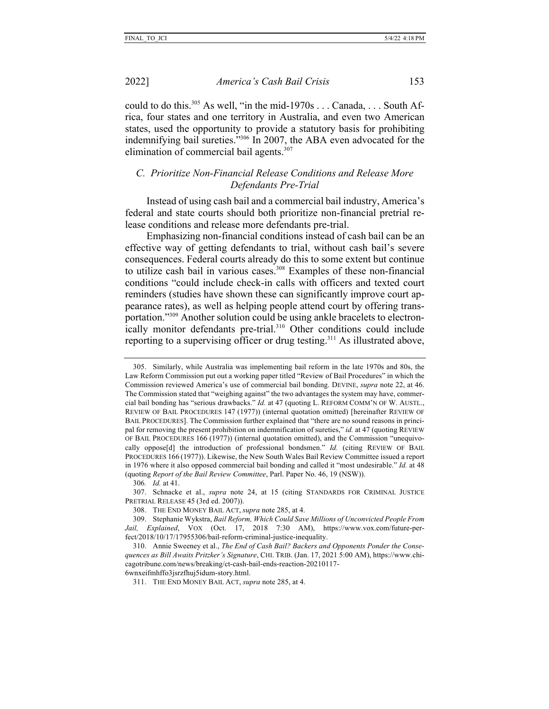could to do this.<sup>305</sup> As well, "in the mid-1970s . . . Canada, . . . South Africa, four states and one territory in Australia, and even two American states, used the opportunity to provide a statutory basis for prohibiting indemnifying bail sureties."306 In 2007, the ABA even advocated for the elimination of commercial bail agents.<sup>307</sup>

## *C. Prioritize Non-Financial Release Conditions and Release More Defendants Pre-Trial*

Instead of using cash bail and a commercial bail industry, America's federal and state courts should both prioritize non-financial pretrial release conditions and release more defendants pre-trial.

Emphasizing non-financial conditions instead of cash bail can be an effective way of getting defendants to trial, without cash bail's severe consequences. Federal courts already do this to some extent but continue to utilize cash bail in various cases.<sup>308</sup> Examples of these non-financial conditions "could include check-in calls with officers and texted court reminders (studies have shown these can significantly improve court appearance rates), as well as helping people attend court by offering transportation."309 Another solution could be using ankle bracelets to electronically monitor defendants pre-trial.<sup>310</sup> Other conditions could include reporting to a supervising officer or drug testing.<sup>311</sup> As illustrated above,

<sup>305.</sup> Similarly, while Australia was implementing bail reform in the late 1970s and 80s, the Law Reform Commission put out a working paper titled "Review of Bail Procedures" in which the Commission reviewed America's use of commercial bail bonding. DEVINE, *supra* note 22, at 46. The Commission stated that "weighing against" the two advantages the system may have, commercial bail bonding has "serious drawbacks." *Id.* at 47 (quoting L. REFORM COMM'N OF W. AUSTL., REVIEW OF BAIL PROCEDURES 147 (1977)) (internal quotation omitted) [hereinafter REVIEW OF BAIL PROCEDURES]. The Commission further explained that "there are no sound reasons in principal for removing the present prohibition on indemnification of sureties," *id.* at 47 (quoting REVIEW OF BAIL PROCEDURES 166 (1977)) (internal quotation omitted), and the Commission "unequivocally oppose[d] the introduction of professional bondsmen." *Id.* (citing REVIEW OF BAIL PROCEDURES 166 (1977)). Likewise, the New South Wales Bail Review Committee issued a report in 1976 where it also opposed commercial bail bonding and called it "most undesirable." *Id.* at 48 (quoting *Report of the Bail Review Committee*, Parl. Paper No. 46, 19 (NSW)).

<sup>306</sup>*. Id.* at 41.

<sup>307.</sup> Schnacke et al., *supra* note 24, at 15 (citing STANDARDS FOR CRIMINAL JUSTICE PRETRIAL RELEASE 45 (3rd ed. 2007)).

<sup>308.</sup> THE END MONEY BAIL ACT, *supra* note 285, at 4.

<sup>309.</sup> Stephanie Wykstra, *Bail Reform, Which Could Save Millions of Unconvicted People From Jail, Explained*, VOX (Oct. 17, 2018 7:30 AM), https://www.vox.com/future-perfect/2018/10/17/17955306/bail-reform-criminal-justice-inequality.

<sup>310.</sup> Annie Sweeney et al., *The End of Cash Bail? Backers and Opponents Ponder the Consequences as Bill Awaits Pritzker's Signature*, CHI. TRIB. (Jan. 17, 2021 5:00 AM), https://www.chicagotribune.com/news/breaking/ct-cash-bail-ends-reaction-20210117- 6wnxeifmhffo3jsrzfhuj5idum-story.html.

<sup>311.</sup> THE END MONEY BAIL ACT, *supra* note 285, at 4.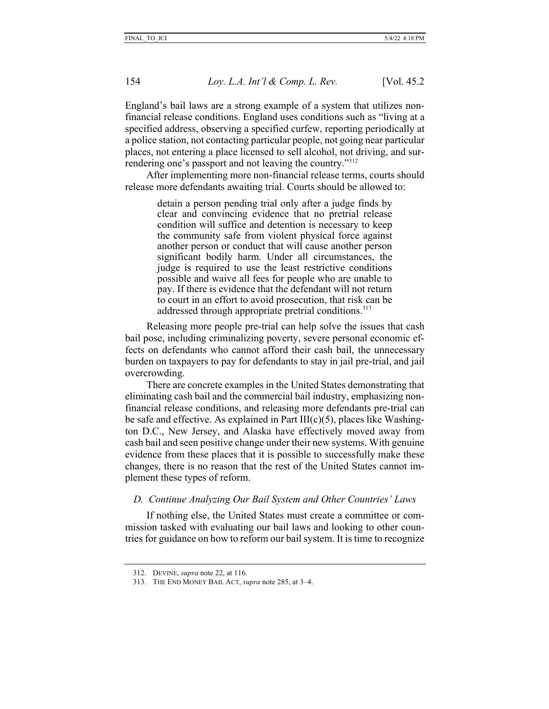England's bail laws are a strong example of a system that utilizes nonfinancial release conditions. England uses conditions such as "living at a specified address, observing a specified curfew, reporting periodically at a police station, not contacting particular people, not going near particular places, not entering a place licensed to sell alcohol, not driving, and surrendering one's passport and not leaving the country."312

After implementing more non-financial release terms, courts should release more defendants awaiting trial. Courts should be allowed to:

> detain a person pending trial only after a judge finds by clear and convincing evidence that no pretrial release condition will suffice and detention is necessary to keep the community safe from violent physical force against another person or conduct that will cause another person significant bodily harm. Under all circumstances, the judge is required to use the least restrictive conditions possible and waive all fees for people who are unable to pay. If there is evidence that the defendant will not return to court in an effort to avoid prosecution, that risk can be addressed through appropriate pretrial conditions.<sup>313</sup>

Releasing more people pre-trial can help solve the issues that cash bail pose, including criminalizing poverty, severe personal economic effects on defendants who cannot afford their cash bail, the unnecessary burden on taxpayers to pay for defendants to stay in jail pre-trial, and jail overcrowding.

There are concrete examples in the United States demonstrating that eliminating cash bail and the commercial bail industry, emphasizing nonfinancial release conditions, and releasing more defendants pre-trial can be safe and effective. As explained in Part  $III(c)(5)$ , places like Washington D.C., New Jersey, and Alaska have effectively moved away from cash bail and seen positive change under their new systems. With genuine evidence from these places that it is possible to successfully make these changes, there is no reason that the rest of the United States cannot implement these types of reform.

#### *D. Continue Analyzing Our Bail System and Other Countries' Laws*

If nothing else, the United States must create a committee or commission tasked with evaluating our bail laws and looking to other countries for guidance on how to reform our bail system. It is time to recognize

<sup>312.</sup> DEVINE, *supra* note 22, at 116.

<sup>313.</sup> THE END MONEY BAIL ACT, *supra* note 285, at 3–4.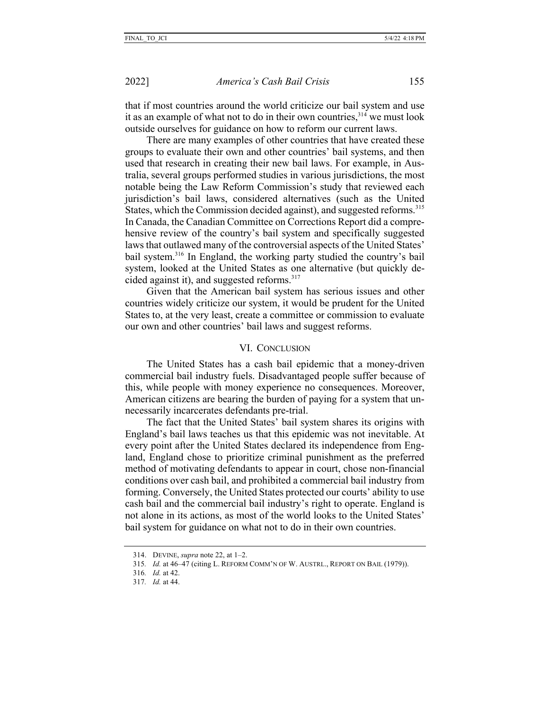that if most countries around the world criticize our bail system and use it as an example of what not to do in their own countries,  $314$  we must look outside ourselves for guidance on how to reform our current laws.

There are many examples of other countries that have created these groups to evaluate their own and other countries' bail systems, and then used that research in creating their new bail laws. For example, in Australia, several groups performed studies in various jurisdictions, the most notable being the Law Reform Commission's study that reviewed each jurisdiction's bail laws, considered alternatives (such as the United States, which the Commission decided against), and suggested reforms.<sup>315</sup> In Canada, the Canadian Committee on Corrections Report did a comprehensive review of the country's bail system and specifically suggested laws that outlawed many of the controversial aspects of the United States' bail system.316 In England, the working party studied the country's bail system, looked at the United States as one alternative (but quickly decided against it), and suggested reforms.<sup>317</sup>

Given that the American bail system has serious issues and other countries widely criticize our system, it would be prudent for the United States to, at the very least, create a committee or commission to evaluate our own and other countries' bail laws and suggest reforms.

### VI. CONCLUSION

The United States has a cash bail epidemic that a money-driven commercial bail industry fuels. Disadvantaged people suffer because of this, while people with money experience no consequences. Moreover, American citizens are bearing the burden of paying for a system that unnecessarily incarcerates defendants pre-trial.

The fact that the United States' bail system shares its origins with England's bail laws teaches us that this epidemic was not inevitable. At every point after the United States declared its independence from England, England chose to prioritize criminal punishment as the preferred method of motivating defendants to appear in court, chose non-financial conditions over cash bail, and prohibited a commercial bail industry from forming. Conversely, the United States protected our courts' ability to use cash bail and the commercial bail industry's right to operate. England is not alone in its actions, as most of the world looks to the United States' bail system for guidance on what not to do in their own countries.

<sup>314.</sup> DEVINE, *supra* note 22, at 1–2.

<sup>315</sup>*. Id.* at 46–47 (citing L. REFORM COMM'N OF W. AUSTRL., REPORT ON BAIL (1979)).

<sup>316</sup>*. Id.* at 42.

<sup>317</sup>*. Id.* at 44.